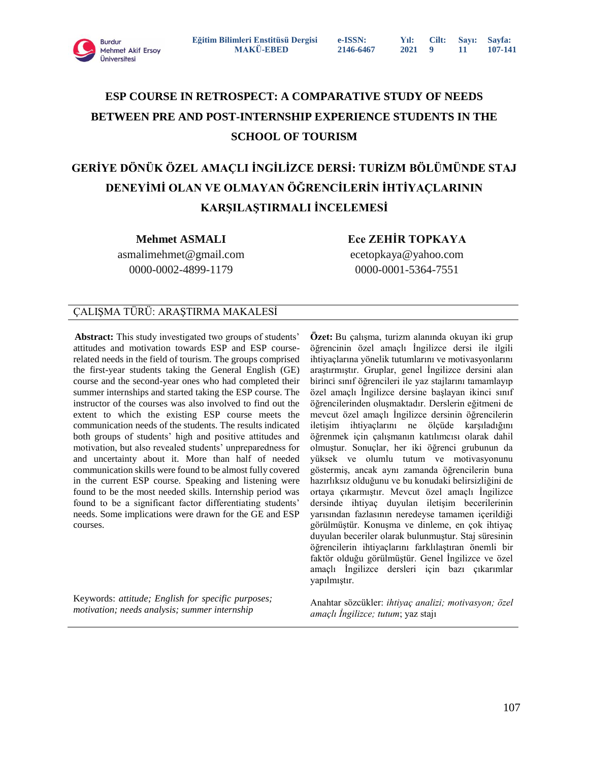

# **ESP COURSE IN RETROSPECT: A COMPARATIVE STUDY OF NEEDS BETWEEN PRE AND POST-INTERNSHIP EXPERIENCE STUDENTS IN THE SCHOOL OF TOURISM**

# **GERİYE DÖNÜK ÖZEL AMAÇLI İNGİLİZCE DERSİ: TURİZM BÖLÜMÜNDE STAJ DENEYİMİ OLAN VE OLMAYAN ÖĞRENCİLERİN İHTİYAÇLARININ KARŞILAŞTIRMALI İNCELEMESİ**

**Mehmet ASMALI**

**Ece ZEHİR TOPKAYA**

asmalimehmet@gmail.com 0000-0002-4899-1179

ecetopkaya@yahoo.com 0000-0001-5364-7551

# ÇALIŞMA TÜRÜ: ARAŞTIRMA MAKALESİ

**Abstract:** This study investigated two groups of students' attitudes and motivation towards ESP and ESP courserelated needs in the field of tourism. The groups comprised the first-year students taking the General English (GE) course and the second-year ones who had completed their summer internships and started taking the ESP course. The instructor of the courses was also involved to find out the extent to which the existing ESP course meets the communication needs of the students. The results indicated both groups of students' high and positive attitudes and motivation, but also revealed students' unpreparedness for and uncertainty about it. More than half of needed communication skills were found to be almost fully covered in the current ESP course. Speaking and listening were found to be the most needed skills. Internship period was found to be a significant factor differentiating students' needs. Some implications were drawn for the GE and ESP courses.

Keywords: *attitude; English for specific purposes; motivation; needs analysis; summer internship*

**Özet:** Bu çalışma, turizm alanında okuyan iki grup öğrencinin özel amaçlı İngilizce dersi ile ilgili ihtiyaçlarına yönelik tutumlarını ve motivasyonlarını araştırmıştır. Gruplar, genel İngilizce dersini alan birinci sınıf öğrencileri ile yaz stajlarını tamamlayıp özel amaçlı İngilizce dersine başlayan ikinci sınıf öğrencilerinden oluşmaktadır. Derslerin eğitmeni de mevcut özel amaçlı İngilizce dersinin öğrencilerin iletişim ihtiyaçlarını ne ölçüde karşıladığını öğrenmek için çalışmanın katılımcısı olarak dahil olmuştur. Sonuçlar, her iki öğrenci grubunun da yüksek ve olumlu tutum ve motivasyonunu göstermiş, ancak aynı zamanda öğrencilerin buna hazırlıksız olduğunu ve bu konudaki belirsizliğini de ortaya çıkarmıştır. Mevcut özel amaçlı İngilizce dersinde ihtiyaç duyulan iletişim becerilerinin yarısından fazlasının neredeyse tamamen içerildiği görülmüştür. Konuşma ve dinleme, en çok ihtiyaç duyulan beceriler olarak bulunmuştur. Staj süresinin öğrencilerin ihtiyaçlarını farklılaştıran önemli bir faktör olduğu görülmüştür. Genel İngilizce ve özel amaçlı İngilizce dersleri için bazı çıkarımlar yapılmıştır.

Anahtar sözcükler: *ihtiyaç analizi; motivasyon; özel amaçlı İngilizce; tutum*; yaz stajı

107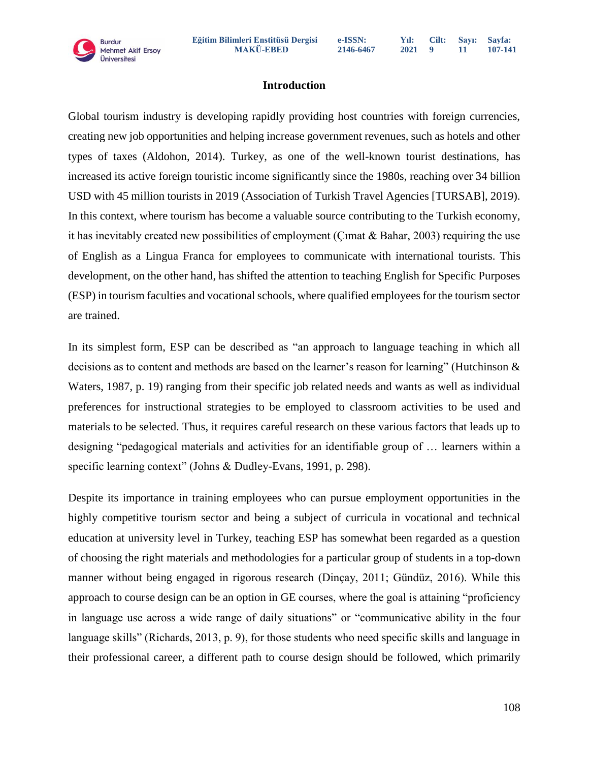# **Introduction**

Global tourism industry is developing rapidly providing host countries with foreign currencies, creating new job opportunities and helping increase government revenues, such as hotels and other types of taxes (Aldohon, 2014). Turkey, as one of the well-known tourist destinations, has increased its active foreign touristic income significantly since the 1980s, reaching over 34 billion USD with 45 million tourists in 2019 (Association of Turkish Travel Agencies [TURSAB], 2019). In this context, where tourism has become a valuable source contributing to the Turkish economy, it has inevitably created new possibilities of employment (Cimat & Bahar, 2003) requiring the use of English as a Lingua Franca for employees to communicate with international tourists. This development, on the other hand, has shifted the attention to teaching English for Specific Purposes (ESP) in tourism faculties and vocational schools, where qualified employees for the tourism sector are trained.

In its simplest form, ESP can be described as "an approach to language teaching in which all decisions as to content and methods are based on the learner's reason for learning" (Hutchinson & Waters, 1987, p. 19) ranging from their specific job related needs and wants as well as individual preferences for instructional strategies to be employed to classroom activities to be used and materials to be selected. Thus, it requires careful research on these various factors that leads up to designing "pedagogical materials and activities for an identifiable group of … learners within a specific learning context" (Johns & Dudley-Evans, 1991, p. 298).

Despite its importance in training employees who can pursue employment opportunities in the highly competitive tourism sector and being a subject of curricula in vocational and technical education at university level in Turkey, teaching ESP has somewhat been regarded as a question of choosing the right materials and methodologies for a particular group of students in a top-down manner without being engaged in rigorous research (Dinçay, 2011; Gündüz, 2016). While this approach to course design can be an option in GE courses, where the goal is attaining "proficiency in language use across a wide range of daily situations" or "communicative ability in the four language skills" (Richards, 2013, p. 9), for those students who need specific skills and language in their professional career, a different path to course design should be followed, which primarily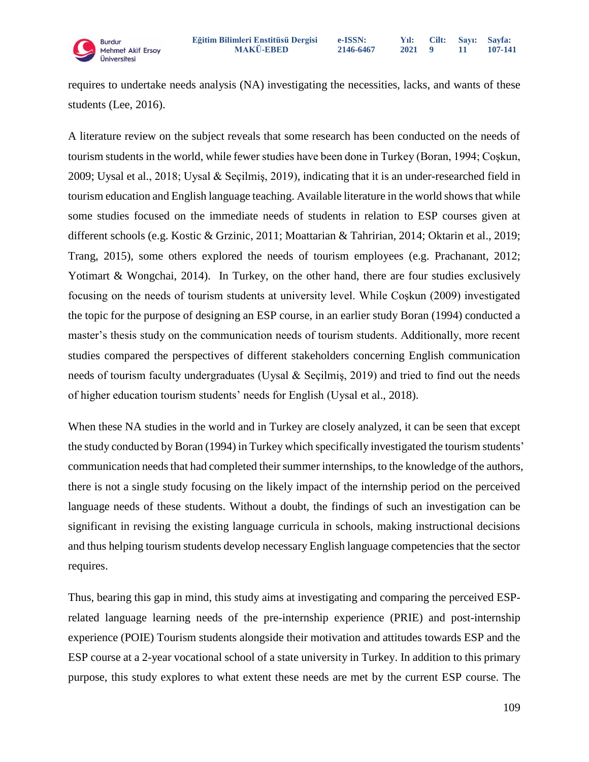

requires to undertake needs analysis (NA) investigating the necessities, lacks, and wants of these students (Lee, 2016).

A literature review on the subject reveals that some research has been conducted on the needs of tourism students in the world, while fewer studies have been done in Turkey (Boran, 1994; Coşkun, 2009; Uysal et al., 2018; Uysal & Seçilmiş, 2019), indicating that it is an under-researched field in tourism education and English language teaching. Available literature in the world shows that while some studies focused on the immediate needs of students in relation to ESP courses given at different schools (e.g. Kostic & Grzinic, 2011; Moattarian & Tahririan, 2014; Oktarin et al., 2019; Trang, 2015), some others explored the needs of tourism employees (e.g. Prachanant, 2012; Yotimart & Wongchai, 2014). In Turkey, on the other hand, there are four studies exclusively focusing on the needs of tourism students at university level. While Coşkun (2009) investigated the topic for the purpose of designing an ESP course, in an earlier study Boran (1994) conducted a master's thesis study on the communication needs of tourism students. Additionally, more recent studies compared the perspectives of different stakeholders concerning English communication needs of tourism faculty undergraduates (Uysal & Seçilmiş, 2019) and tried to find out the needs of higher education tourism students' needs for English (Uysal et al., 2018).

When these NA studies in the world and in Turkey are closely analyzed, it can be seen that except the study conducted by Boran (1994) in Turkey which specifically investigated the tourism students' communication needs that had completed their summer internships, to the knowledge of the authors, there is not a single study focusing on the likely impact of the internship period on the perceived language needs of these students. Without a doubt, the findings of such an investigation can be significant in revising the existing language curricula in schools, making instructional decisions and thus helping tourism students develop necessary English language competencies that the sector requires.

Thus, bearing this gap in mind, this study aims at investigating and comparing the perceived ESPrelated language learning needs of the pre-internship experience (PRIE) and post-internship experience (POIE) Tourism students alongside their motivation and attitudes towards ESP and the ESP course at a 2-year vocational school of a state university in Turkey. In addition to this primary purpose, this study explores to what extent these needs are met by the current ESP course. The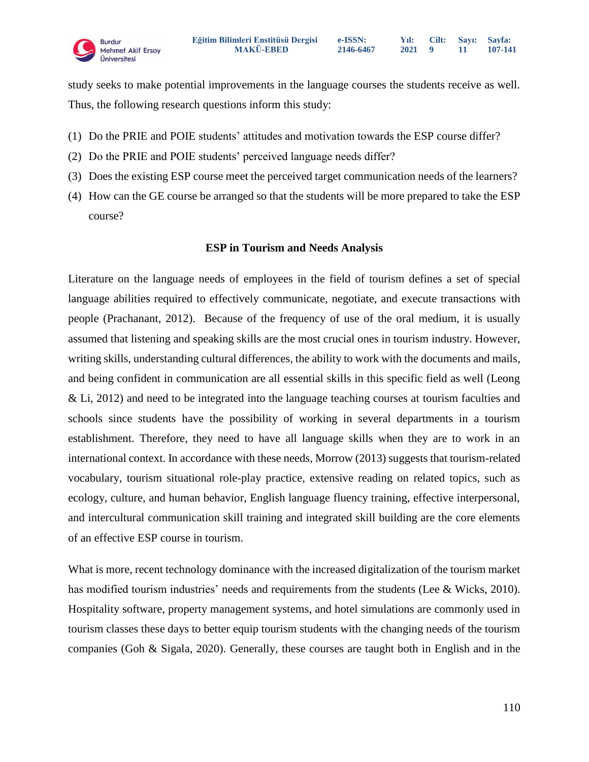study seeks to make potential improvements in the language courses the students receive as well. Thus, the following research questions inform this study:

- (1) Do the PRIE and POIE students' attitudes and motivation towards the ESP course differ?
- (2) Do the PRIE and POIE students' perceived language needs differ?
- (3) Does the existing ESP course meet the perceived target communication needs of the learners?
- (4) How can the GE course be arranged so that the students will be more prepared to take the ESP course?

#### **ESP in Tourism and Needs Analysis**

Literature on the language needs of employees in the field of tourism defines a set of special language abilities required to effectively communicate, negotiate, and execute transactions with people (Prachanant, 2012). Because of the frequency of use of the oral medium, it is usually assumed that listening and speaking skills are the most crucial ones in tourism industry. However, writing skills, understanding cultural differences, the ability to work with the documents and mails, and being confident in communication are all essential skills in this specific field as well (Leong & Li, 2012) and need to be integrated into the language teaching courses at tourism faculties and schools since students have the possibility of working in several departments in a tourism establishment. Therefore, they need to have all language skills when they are to work in an international context. In accordance with these needs, Morrow (2013) suggests that tourism-related vocabulary, tourism situational role-play practice, extensive reading on related topics, such as ecology, culture, and human behavior, English language fluency training, effective interpersonal, and intercultural communication skill training and integrated skill building are the core elements of an effective ESP course in tourism.

What is more, recent technology dominance with the increased digitalization of the tourism market has modified tourism industries' needs and requirements from the students (Lee & Wicks, 2010). Hospitality software, property management systems, and hotel simulations are commonly used in tourism classes these days to better equip tourism students with the changing needs of the tourism companies (Goh & Sigala, 2020). Generally, these courses are taught both in English and in the

**Sayfa: 107-141**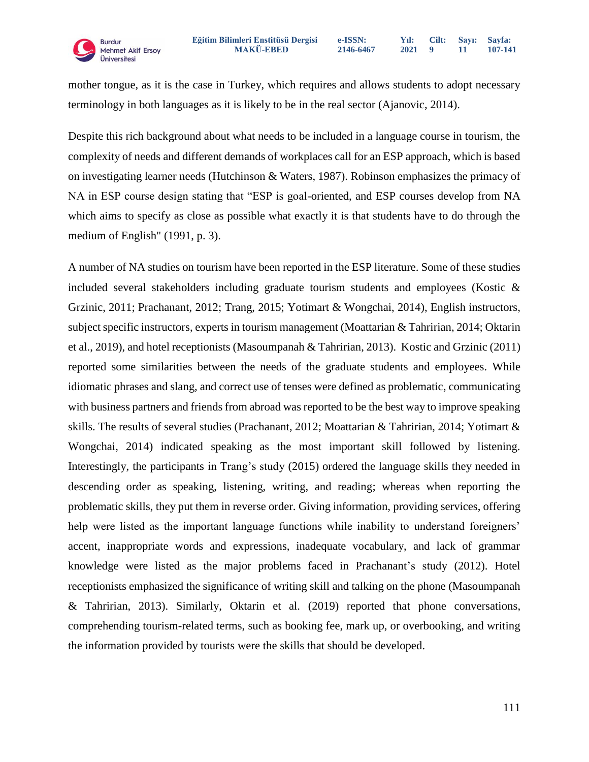mother tongue, as it is the case in Turkey, which requires and allows students to adopt necessary terminology in both languages as it is likely to be in the real sector (Ajanovic, 2014).

Despite this rich background about what needs to be included in a language course in tourism, the complexity of needs and different demands of workplaces call for an ESP approach, which is based on investigating learner needs (Hutchinson & Waters, 1987). Robinson emphasizes the primacy of NA in ESP course design stating that "ESP is goal-oriented, and ESP courses develop from NA which aims to specify as close as possible what exactly it is that students have to do through the medium of English" (1991, p. 3).

A number of NA studies on tourism have been reported in the ESP literature. Some of these studies included several stakeholders including graduate tourism students and employees (Kostic & Grzinic, 2011; Prachanant, 2012; Trang, 2015; Yotimart & Wongchai, 2014), English instructors, subject specific instructors, experts in tourism management (Moattarian & Tahririan, 2014; Oktarin et al., 2019), and hotel receptionists (Masoumpanah & Tahririan, 2013). Kostic and Grzinic (2011) reported some similarities between the needs of the graduate students and employees. While idiomatic phrases and slang, and correct use of tenses were defined as problematic, communicating with business partners and friends from abroad was reported to be the best way to improve speaking skills. The results of several studies (Prachanant, 2012; Moattarian & Tahririan, 2014; Yotimart & Wongchai, 2014) indicated speaking as the most important skill followed by listening. Interestingly, the participants in Trang's study (2015) ordered the language skills they needed in descending order as speaking, listening, writing, and reading; whereas when reporting the problematic skills, they put them in reverse order. Giving information, providing services, offering help were listed as the important language functions while inability to understand foreigners' accent, inappropriate words and expressions, inadequate vocabulary, and lack of grammar knowledge were listed as the major problems faced in Prachanant's study (2012). Hotel receptionists emphasized the significance of writing skill and talking on the phone (Masoumpanah & Tahririan, 2013). Similarly, Oktarin et al. (2019) reported that phone conversations, comprehending tourism-related terms, such as booking fee, mark up, or overbooking, and writing the information provided by tourists were the skills that should be developed.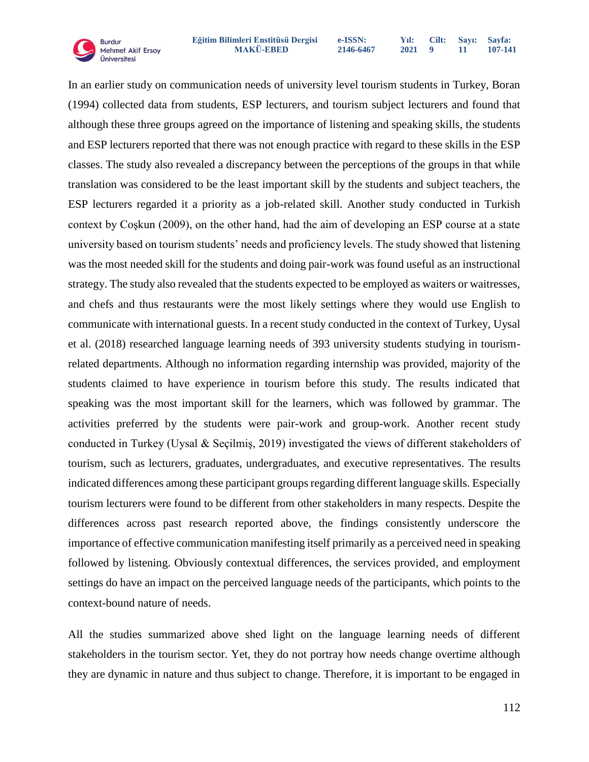

In an earlier study on communication needs of university level tourism students in Turkey, Boran (1994) collected data from students, ESP lecturers, and tourism subject lecturers and found that although these three groups agreed on the importance of listening and speaking skills, the students and ESP lecturers reported that there was not enough practice with regard to these skills in the ESP classes. The study also revealed a discrepancy between the perceptions of the groups in that while translation was considered to be the least important skill by the students and subject teachers, the ESP lecturers regarded it a priority as a job-related skill. Another study conducted in Turkish context by Coşkun (2009), on the other hand, had the aim of developing an ESP course at a state university based on tourism students' needs and proficiency levels. The study showed that listening was the most needed skill for the students and doing pair-work was found useful as an instructional strategy. The study also revealed that the students expected to be employed as waiters or waitresses, and chefs and thus restaurants were the most likely settings where they would use English to communicate with international guests. In a recent study conducted in the context of Turkey, Uysal et al. (2018) researched language learning needs of 393 university students studying in tourismrelated departments. Although no information regarding internship was provided, majority of the students claimed to have experience in tourism before this study. The results indicated that speaking was the most important skill for the learners, which was followed by grammar. The activities preferred by the students were pair-work and group-work. Another recent study conducted in Turkey (Uysal & Seçilmiş, 2019) investigated the views of different stakeholders of tourism, such as lecturers, graduates, undergraduates, and executive representatives. The results indicated differences among these participant groups regarding different language skills. Especially tourism lecturers were found to be different from other stakeholders in many respects. Despite the differences across past research reported above, the findings consistently underscore the importance of effective communication manifesting itself primarily as a perceived need in speaking followed by listening. Obviously contextual differences, the services provided, and employment settings do have an impact on the perceived language needs of the participants, which points to the context-bound nature of needs.

All the studies summarized above shed light on the language learning needs of different stakeholders in the tourism sector. Yet, they do not portray how needs change overtime although they are dynamic in nature and thus subject to change. Therefore, it is important to be engaged in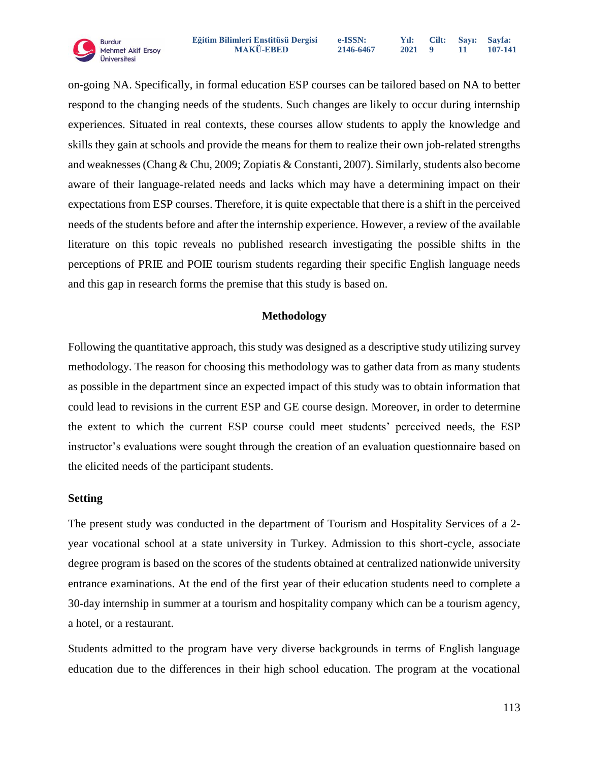on-going NA. Specifically, in formal education ESP courses can be tailored based on NA to better respond to the changing needs of the students. Such changes are likely to occur during internship experiences. Situated in real contexts, these courses allow students to apply the knowledge and skills they gain at schools and provide the means for them to realize their own job-related strengths and weaknesses (Chang & Chu, 2009; Zopiatis & Constanti, 2007). Similarly, students also become aware of their language-related needs and lacks which may have a determining impact on their expectations from ESP courses. Therefore, it is quite expectable that there is a shift in the perceived needs of the students before and after the internship experience. However, a review of the available literature on this topic reveals no published research investigating the possible shifts in the perceptions of PRIE and POIE tourism students regarding their specific English language needs and this gap in research forms the premise that this study is based on.

# **Methodology**

Following the quantitative approach, this study was designed as a descriptive study utilizing survey methodology. The reason for choosing this methodology was to gather data from as many students as possible in the department since an expected impact of this study was to obtain information that could lead to revisions in the current ESP and GE course design. Moreover, in order to determine the extent to which the current ESP course could meet students' perceived needs, the ESP instructor's evaluations were sought through the creation of an evaluation questionnaire based on the elicited needs of the participant students.

#### **Setting**

The present study was conducted in the department of Tourism and Hospitality Services of a 2 year vocational school at a state university in Turkey. Admission to this short-cycle, associate degree program is based on the scores of the students obtained at centralized nationwide university entrance examinations. At the end of the first year of their education students need to complete a 30-day internship in summer at a tourism and hospitality company which can be a tourism agency, a hotel, or a restaurant.

Students admitted to the program have very diverse backgrounds in terms of English language education due to the differences in their high school education. The program at the vocational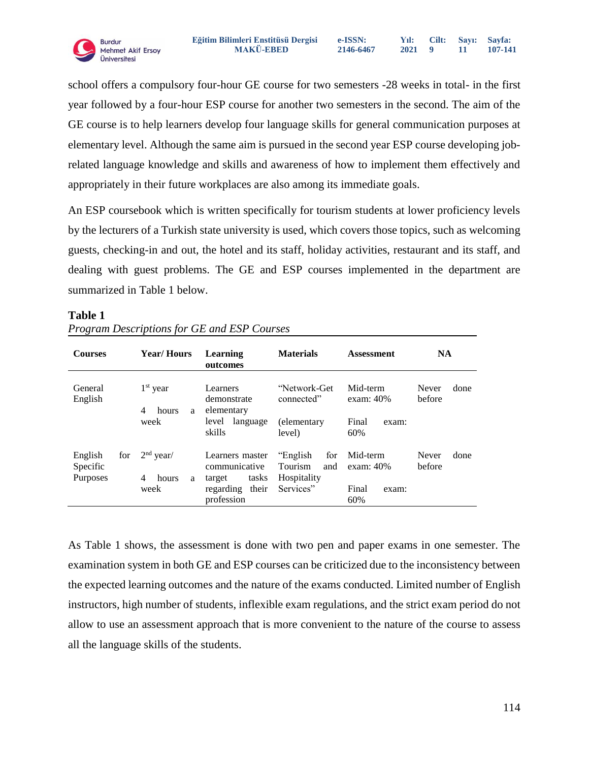**Burdur MAKÜ-EBED**<br>Üniversitesi

school offers a compulsory four-hour GE course for two semesters -28 weeks in total- in the first year followed by a four-hour ESP course for another two semesters in the second. The aim of the GE course is to help learners develop four language skills for general communication purposes at elementary level. Although the same aim is pursued in the second year ESP course developing jobrelated language knowledge and skills and awareness of how to implement them effectively and appropriately in their future workplaces are also among its immediate goals.

An ESP coursebook which is written specifically for tourism students at lower proficiency levels by the lecturers of a Turkish state university is used, which covers those topics, such as welcoming guests, checking-in and out, the hotel and its staff, holiday activities, restaurant and its staff, and dealing with guest problems. The GE and ESP courses implemented in the department are summarized in Table 1 below.

| <b>Courses</b>                  |     | <b>Year/Hours</b>              | Learning<br>outcomes                                | <b>Materials</b>                                         | <b>Assessment</b>        | <b>NA</b>               |
|---------------------------------|-----|--------------------------------|-----------------------------------------------------|----------------------------------------------------------|--------------------------|-------------------------|
| General<br>English              |     | $1st$ year<br>4<br>hours<br>a  | Learners<br>demonstrate<br>elementary               | "Network-Get<br>connected"                               | Mid-term<br>exam: $40\%$ | Never<br>done<br>before |
|                                 |     | week                           | level<br>language<br>skills                         | (elementary<br>level)                                    | Final<br>exam:<br>60%    |                         |
| English<br>Specific<br>Purposes | for | $2nd$ year/<br>4<br>hours<br>a | Learners master<br>communicative<br>tasks<br>target | "English"<br>for<br><b>Tourism</b><br>and<br>Hospitality | Mid-term<br>exam: $40\%$ | done<br>Never<br>before |
|                                 |     | week                           | regarding<br>their<br>profession                    | Services"                                                | Final<br>exam:<br>60%    |                         |

#### **Table 1**

*Program Descriptions for GE and ESP Courses*

As Table 1 shows, the assessment is done with two pen and paper exams in one semester. The examination system in both GE and ESP courses can be criticized due to the inconsistency between the expected learning outcomes and the nature of the exams conducted. Limited number of English instructors, high number of students, inflexible exam regulations, and the strict exam period do not allow to use an assessment approach that is more convenient to the nature of the course to assess all the language skills of the students.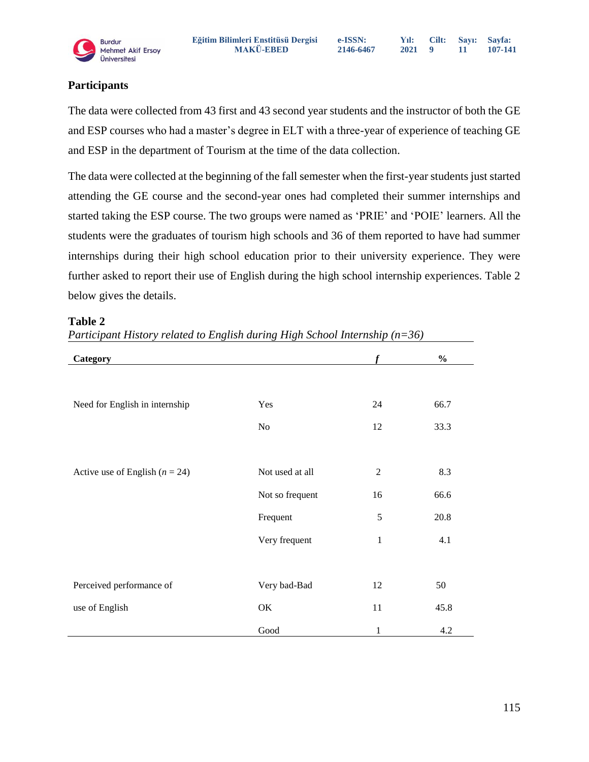**e-ISSN: 2146-6467**

**Yıl: 2021 Cilt: 9 Sayı: 11 Sayfa: 107-141**

# **Participants**

The data were collected from 43 first and 43 second year students and the instructor of both the GE and ESP courses who had a master's degree in ELT with a three-year of experience of teaching GE and ESP in the department of Tourism at the time of the data collection.

The data were collected at the beginning of the fall semester when the first-year students just started attending the GE course and the second-year ones had completed their summer internships and started taking the ESP course. The two groups were named as 'PRIE' and 'POIE' learners. All the students were the graduates of tourism high schools and 36 of them reported to have had summer internships during their high school education prior to their university experience. They were further asked to report their use of English during the high school internship experiences. Table 2 below gives the details.

| Category                           |                 |                | $\frac{0}{0}$ |
|------------------------------------|-----------------|----------------|---------------|
|                                    |                 |                |               |
| Need for English in internship     | Yes             | 24             | 66.7          |
|                                    | No              | 12             | 33.3          |
|                                    |                 |                |               |
| Active use of English ( $n = 24$ ) | Not used at all | $\overline{2}$ | 8.3           |
|                                    | Not so frequent | 16             | 66.6          |
|                                    | Frequent        | 5              | 20.8          |
|                                    | Very frequent   | $\mathbf{1}$   | 4.1           |
|                                    |                 |                |               |
| Perceived performance of           | Very bad-Bad    | 12             | 50            |
| use of English                     | OK              | 11             | 45.8          |
|                                    | Good            | 1              | 4.2           |

#### **Table 2**

*Participant History related to English during High School Internship (n=36)*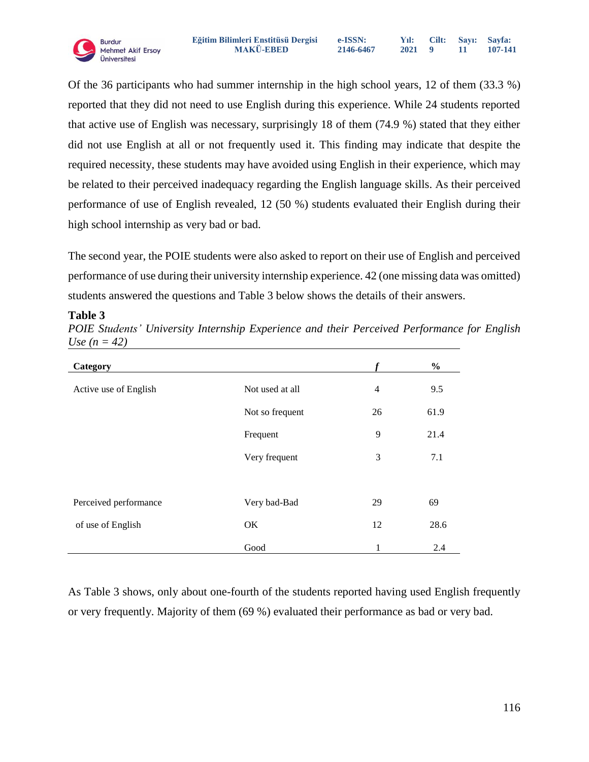

Of the 36 participants who had summer internship in the high school years, 12 of them (33.3 %) reported that they did not need to use English during this experience. While 24 students reported that active use of English was necessary, surprisingly 18 of them (74.9 %) stated that they either did not use English at all or not frequently used it. This finding may indicate that despite the required necessity, these students may have avoided using English in their experience, which may be related to their perceived inadequacy regarding the English language skills. As their perceived performance of use of English revealed, 12 (50 %) students evaluated their English during their high school internship as very bad or bad.

The second year, the POIE students were also asked to report on their use of English and perceived performance of use during their university internship experience. 42 (one missing data was omitted) students answered the questions and Table 3 below shows the details of their answers.

# **Table 3**

| Category              |                 |                | $\frac{6}{6}$ |
|-----------------------|-----------------|----------------|---------------|
| Active use of English | Not used at all | $\overline{4}$ | 9.5           |
|                       | Not so frequent | 26             | 61.9          |
|                       | Frequent        | 9              | 21.4          |
|                       | Very frequent   | 3              | 7.1           |
|                       |                 |                |               |
| Perceived performance | Very bad-Bad    | 29             | 69            |
| of use of English     | OK              | 12             | 28.6          |
|                       | Good            | 1              | 2.4           |

*POIE Students' University Internship Experience and their Perceived Performance for English Use*  $(n = 42)$ 

As Table 3 shows, only about one-fourth of the students reported having used English frequently or very frequently. Majority of them (69 %) evaluated their performance as bad or very bad.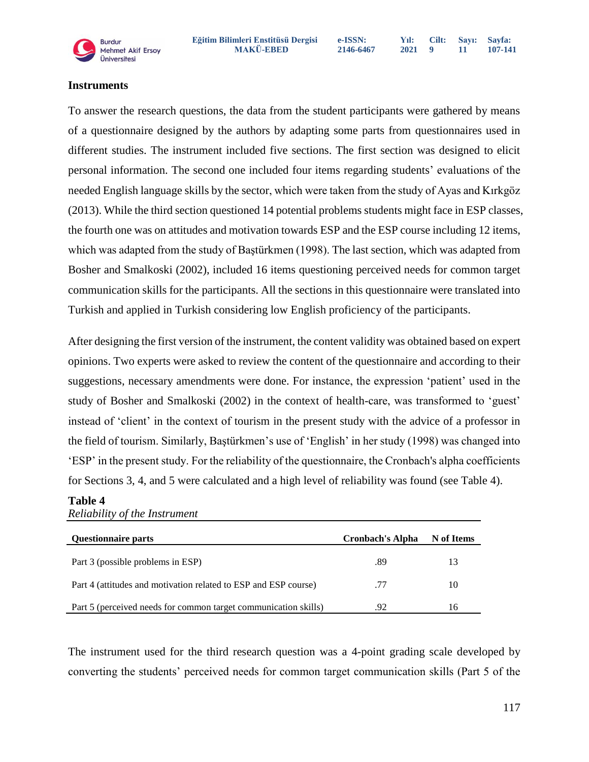

**Sayfa: 107-141**

#### **Instruments**

To answer the research questions, the data from the student participants were gathered by means of a questionnaire designed by the authors by adapting some parts from questionnaires used in different studies. The instrument included five sections. The first section was designed to elicit personal information. The second one included four items regarding students' evaluations of the needed English language skills by the sector, which were taken from the study of Ayas and Kırkgöz (2013). While the third section questioned 14 potential problems students might face in ESP classes, the fourth one was on attitudes and motivation towards ESP and the ESP course including 12 items, which was adapted from the study of Baştürkmen (1998). The last section, which was adapted from Bosher and Smalkoski (2002), included 16 items questioning perceived needs for common target communication skills for the participants. All the sections in this questionnaire were translated into Turkish and applied in Turkish considering low English proficiency of the participants.

After designing the first version of the instrument, the content validity was obtained based on expert opinions. Two experts were asked to review the content of the questionnaire and according to their suggestions, necessary amendments were done. For instance, the expression 'patient' used in the study of Bosher and Smalkoski (2002) in the context of health-care, was transformed to 'guest' instead of 'client' in the context of tourism in the present study with the advice of a professor in the field of tourism. Similarly, Baştürkmen's use of 'English' in her study (1998) was changed into 'ESP' in the present study. For the reliability of the questionnaire, the Cronbach's alpha coefficients for Sections 3, 4, and 5 were calculated and a high level of reliability was found (see Table 4).

#### **Table 4**

*Reliability of the Instrument*

| Questionnaire parts                                             | <b>Cronbach's Alpha</b> | N of Items |
|-----------------------------------------------------------------|-------------------------|------------|
| Part 3 (possible problems in ESP)                               | .89                     | 13         |
| Part 4 (attitudes and motivation related to ESP and ESP course) | .77                     | 10         |
| Part 5 (perceived needs for common target communication skills) | .92                     | 16         |

The instrument used for the third research question was a 4-point grading scale developed by converting the students' perceived needs for common target communication skills (Part 5 of the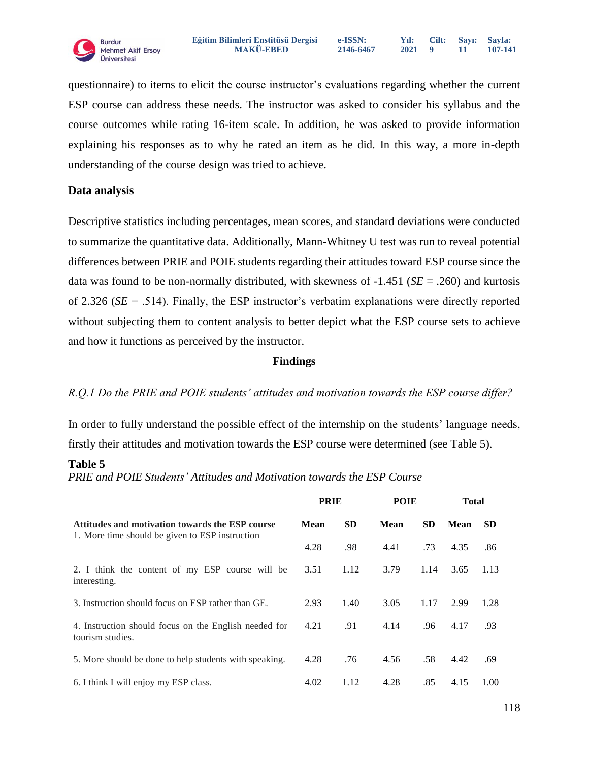questionnaire) to items to elicit the course instructor's evaluations regarding whether the current ESP course can address these needs. The instructor was asked to consider his syllabus and the course outcomes while rating 16-item scale. In addition, he was asked to provide information explaining his responses as to why he rated an item as he did. In this way, a more in-depth understanding of the course design was tried to achieve.

# **Data analysis**

Descriptive statistics including percentages, mean scores, and standard deviations were conducted to summarize the quantitative data. Additionally, Mann-Whitney U test was run to reveal potential differences between PRIE and POIE students regarding their attitudes toward ESP course since the data was found to be non-normally distributed, with skewness of -1.451 (*SE* = .260) and kurtosis of 2.326 (*SE* = .514). Finally, the ESP instructor's verbatim explanations were directly reported without subjecting them to content analysis to better depict what the ESP course sets to achieve and how it functions as perceived by the instructor.

# **Findings**

# *R.Q.1 Do the PRIE and POIE students' attitudes and motivation towards the ESP course differ?*

In order to fully understand the possible effect of the internship on the students' language needs, firstly their attitudes and motivation towards the ESP course were determined (see Table 5).

#### **Table 5**

*PRIE and POIE Students' Attitudes and Motivation towards the ESP Course* 

|                                                                                                    | <b>PRIE</b> |           | POIE |           | <b>Total</b> |           |
|----------------------------------------------------------------------------------------------------|-------------|-----------|------|-----------|--------------|-----------|
| Attitudes and motivation towards the ESP course<br>1. More time should be given to ESP instruction | <b>Mean</b> | <b>SD</b> | Mean | <b>SD</b> | <b>Mean</b>  | <b>SD</b> |
|                                                                                                    | 4.28        | .98       | 4.41 | .73       | 4.35         | .86       |
| 2. I think the content of my ESP course will be<br>interesting.                                    | 3.51        | 1.12      | 3.79 | 1.14      | 3.65         | 1.13      |
| 3. Instruction should focus on ESP rather than GE.                                                 | 2.93        | 1.40      | 3.05 | 1.17      | 2.99         | 1.28      |
| 4. Instruction should focus on the English needed for<br>tourism studies.                          | 4.21        | .91       | 4.14 | .96       | 4.17         | .93       |
| 5. More should be done to help students with speaking.                                             | 4.28        | .76       | 4.56 | .58       | 4.42         | .69       |
| 6. I think I will enjoy my ESP class.                                                              | 4.02        | 1.12      | 4.28 | .85       | 4.15         | 1.00      |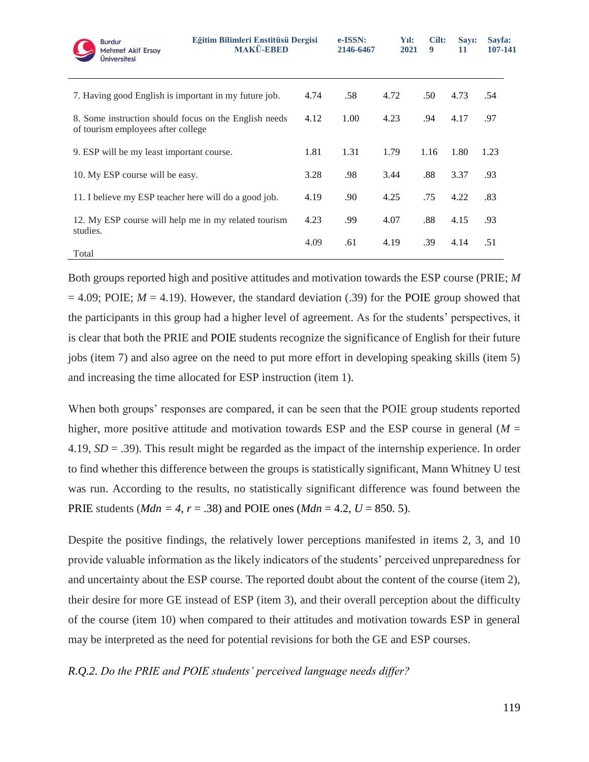| <b>Burdur</b><br><b>Mehmet Akif Ersoy</b><br>Üniversitesi                                   | Eğitim Bilimleri Enstitüsü Dergisi<br><b>MAKÜ-EBED</b> |      | e-ISSN:<br>2146-6467 | Yıl:<br>2021 | Cilt:<br>9 | Sav <sub>1</sub> :<br>11 | Sayfa:<br>107-141 |
|---------------------------------------------------------------------------------------------|--------------------------------------------------------|------|----------------------|--------------|------------|--------------------------|-------------------|
| 7. Having good English is important in my future job.                                       |                                                        | 4.74 | .58                  | 4.72         | .50        | 4.73                     | .54               |
| 8. Some instruction should focus on the English needs<br>of tourism employees after college |                                                        | 4.12 | 1.00                 | 4.23         | .94        | 4.17                     | .97               |
| 9. ESP will be my least important course.                                                   |                                                        | 1.81 | 1.31                 | 1.79         | 1.16       | 1.80                     | 1.23              |
| 10. My ESP course will be easy.                                                             |                                                        | 3.28 | .98                  | 3.44         | .88        | 3.37                     | .93               |
| 11. I believe my ESP teacher here will do a good job.                                       |                                                        | 4.19 | .90                  | 4.25         | .75        | 4.22                     | .83               |
| 12. My ESP course will help me in my related tourism<br>studies.                            |                                                        | 4.23 | .99                  | 4.07         | .88        | 4.15                     | .93               |
| Total                                                                                       |                                                        | 4.09 | .61                  | 4.19         | .39        | 4.14                     | .51               |

Both groups reported high and positive attitudes and motivation towards the ESP course (PRIE; *M*  $= 4.09$ ; POIE;  $M = 4.19$ ). However, the standard deviation (.39) for the POIE group showed that the participants in this group had a higher level of agreement. As for the students' perspectives, it is clear that both the PRIE and POIE students recognize the significance of English for their future jobs (item 7) and also agree on the need to put more effort in developing speaking skills (item 5) and increasing the time allocated for ESP instruction (item 1).

When both groups' responses are compared, it can be seen that the POIE group students reported higher, more positive attitude and motivation towards ESP and the ESP course in general ( $M =$ 4.19, *SD* = .39). This result might be regarded as the impact of the internship experience. In order to find whether this difference between the groups is statistically significant, Mann Whitney U test was run. According to the results, no statistically significant difference was found between the PRIE students (*Mdn* = 4,  $r = .38$ ) and POIE ones (*Mdn* = 4.2,  $U = 850.5$ ).

Despite the positive findings, the relatively lower perceptions manifested in items 2, 3, and 10 provide valuable information as the likely indicators of the students' perceived unpreparedness for and uncertainty about the ESP course. The reported doubt about the content of the course (item 2), their desire for more GE instead of ESP (item 3), and their overall perception about the difficulty of the course (item 10) when compared to their attitudes and motivation towards ESP in general may be interpreted as the need for potential revisions for both the GE and ESP courses.

#### *R.Q.2. Do the PRIE and POIE students' perceived language needs differ?*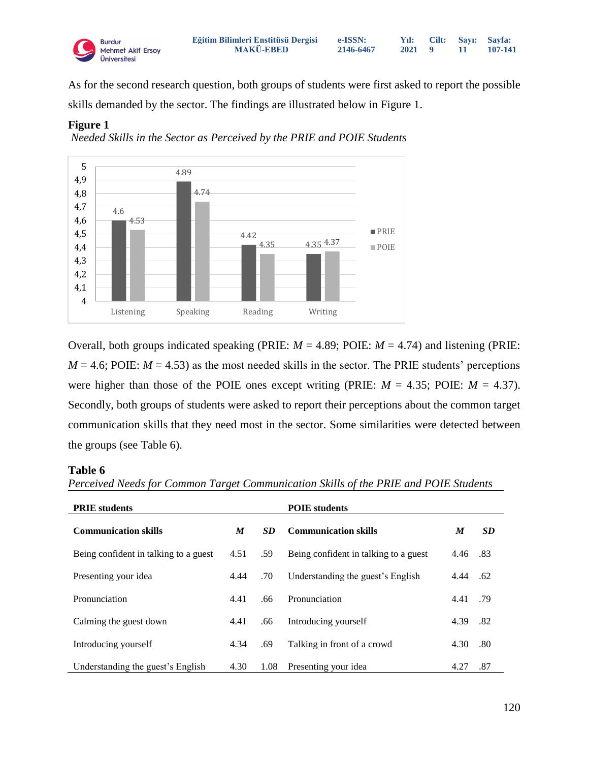

As for the second research question, both groups of students were first asked to report the possible skills demanded by the sector. The findings are illustrated below in Figure 1.

#### **Figure 1**

*Needed Skills in the Sector as Perceived by the PRIE and POIE Students* 



Overall, both groups indicated speaking (PRIE:  $M = 4.89$ ; POIE:  $M = 4.74$ ) and listening (PRIE:  $M = 4.6$ ; POIE:  $M = 4.53$ ) as the most needed skills in the sector. The PRIE students' perceptions were higher than those of the POIE ones except writing (PRIE:  $M = 4.35$ ; POIE:  $M = 4.37$ ). Secondly, both groups of students were asked to report their perceptions about the common target communication skills that they need most in the sector. Some similarities were detected between the groups (see Table 6).

#### **Table 6**

| <b>PRIE</b> students                  |      | <b>POIE</b> students |                                       |      |           |
|---------------------------------------|------|----------------------|---------------------------------------|------|-----------|
| <b>Communication skills</b>           | M    | <b>SD</b>            | <b>Communication skills</b>           | M    | <b>SD</b> |
| Being confident in talking to a guest | 4.51 | .59                  | Being confident in talking to a guest | 4.46 | .83       |
| Presenting your idea                  | 4.44 | .70                  | Understanding the guest's English     | 4.44 | .62       |
| Pronunciation                         | 4.41 | .66                  | Pronunciation                         | 4.41 | .79       |
| Calming the guest down                | 4.41 | .66                  | Introducing yourself                  | 4.39 | .82       |
| Introducing yourself                  | 4.34 | .69                  | Talking in front of a crowd           | 4.30 | .80       |
| Understanding the guest's English     | 4.30 | 1.08                 | Presenting your idea                  | 4.27 | .87       |

*Perceived Needs for Common Target Communication Skills of the PRIE and POIE Students*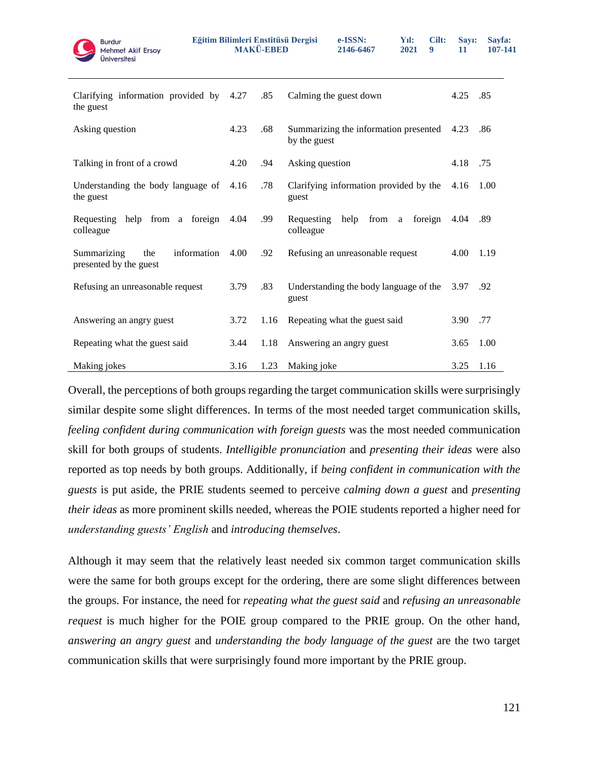

| Clarifying information provided by<br>the guest             | 4.27 | .85  | Calming the guest down                                  | 4.25 | .85  |
|-------------------------------------------------------------|------|------|---------------------------------------------------------|------|------|
| Asking question                                             | 4.23 | .68  | Summarizing the information presented<br>by the guest   | 4.23 | .86  |
| Talking in front of a crowd                                 | 4.20 | .94  | Asking question                                         | 4.18 | .75  |
| Understanding the body language of<br>the guest             | 4.16 | .78  | Clarifying information provided by the<br>guest         | 4.16 | 1.00 |
| help from a foreign<br>Requesting<br>colleague              | 4.04 | .99  | from<br>help<br>foreign<br>Requesting<br>a<br>colleague | 4.04 | .89  |
| Summarizing<br>information<br>the<br>presented by the guest | 4.00 | .92  | Refusing an unreasonable request                        | 4.00 | 1.19 |
| Refusing an unreasonable request                            | 3.79 | .83  | Understanding the body language of the<br>guest         | 3.97 | .92  |
| Answering an angry guest                                    | 3.72 | 1.16 | Repeating what the guest said                           | 3.90 | .77  |
| Repeating what the guest said                               | 3.44 | 1.18 | Answering an angry guest                                | 3.65 | 1.00 |
| Making jokes                                                | 3.16 | 1.23 | Making joke                                             | 3.25 | 1.16 |

Overall, the perceptions of both groups regarding the target communication skills were surprisingly similar despite some slight differences. In terms of the most needed target communication skills, *feeling confident during communication with foreign guests* was the most needed communication skill for both groups of students. *Intelligible pronunciation* and *presenting their ideas* were also reported as top needs by both groups. Additionally, if *being confident in communication with the guests* is put aside, the PRIE students seemed to perceive *calming down a guest* and *presenting their ideas* as more prominent skills needed, whereas the POIE students reported a higher need for *understanding guests' English* and *introducing themselves*.

Although it may seem that the relatively least needed six common target communication skills were the same for both groups except for the ordering, there are some slight differences between the groups. For instance, the need for *repeating what the guest said* and *refusing an unreasonable request* is much higher for the POIE group compared to the PRIE group. On the other hand, *answering an angry guest* and *understanding the body language of the guest* are the two target communication skills that were surprisingly found more important by the PRIE group.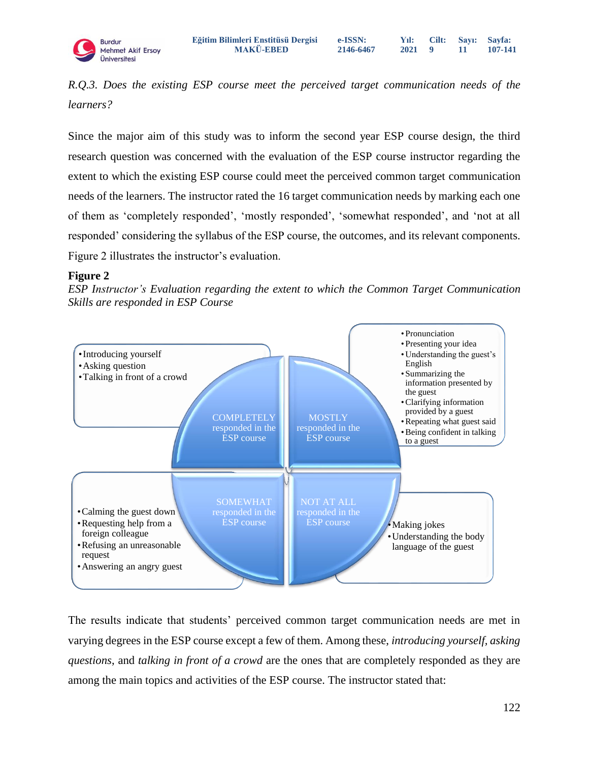**e-ISSN: 2146-6467** **Yıl: 2021 9 Cilt: Sayı: 11 Sayfa: 107-141**

*R.Q.3. Does the existing ESP course meet the perceived target communication needs of the learners?*

Since the major aim of this study was to inform the second year ESP course design, the third research question was concerned with the evaluation of the ESP course instructor regarding the extent to which the existing ESP course could meet the perceived common target communication needs of the learners. The instructor rated the 16 target communication needs by marking each one of them as 'completely responded', 'mostly responded', 'somewhat responded', and 'not at all responded' considering the syllabus of the ESP course, the outcomes, and its relevant components. Figure 2 illustrates the instructor's evaluation.

# **Figure 2**





The results indicate that students' perceived common target communication needs are met in varying degrees in the ESP course except a few of them. Among these, *introducing yourself, asking questions*, and *talking in front of a crowd* are the ones that are completely responded as they are among the main topics and activities of the ESP course. The instructor stated that: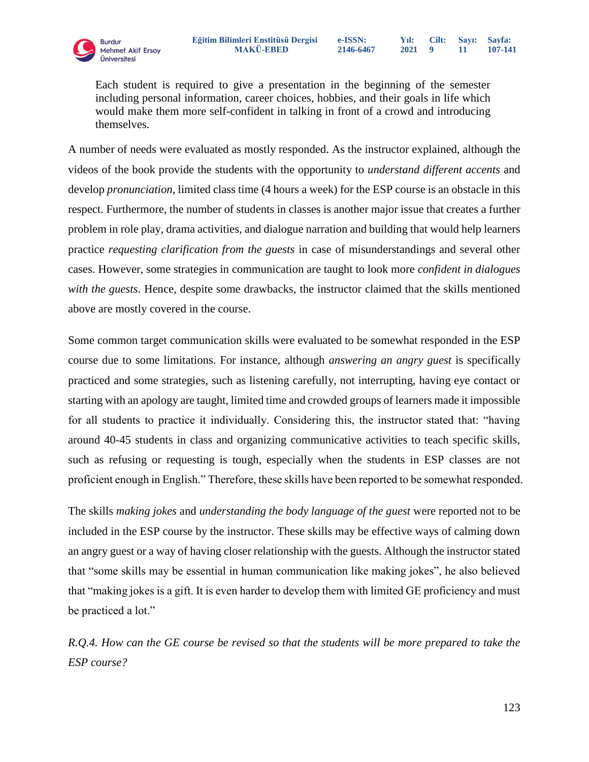Each student is required to give a presentation in the beginning of the semester including personal information, career choices, hobbies, and their goals in life which would make them more self-confident in talking in front of a crowd and introducing themselves.

A number of needs were evaluated as mostly responded. As the instructor explained, although the videos of the book provide the students with the opportunity to *understand different accents* and develop *pronunciation*, limited class time (4 hours a week) for the ESP course is an obstacle in this respect. Furthermore, the number of students in classes is another major issue that creates a further problem in role play, drama activities, and dialogue narration and building that would help learners practice *requesting clarification from the guests* in case of misunderstandings and several other cases. However, some strategies in communication are taught to look more *confident in dialogues with the guests*. Hence, despite some drawbacks, the instructor claimed that the skills mentioned above are mostly covered in the course.

Some common target communication skills were evaluated to be somewhat responded in the ESP course due to some limitations. For instance, although *answering an angry guest* is specifically practiced and some strategies, such as listening carefully, not interrupting, having eye contact or starting with an apology are taught, limited time and crowded groups of learners made it impossible for all students to practice it individually. Considering this, the instructor stated that: "having around 40-45 students in class and organizing communicative activities to teach specific skills, such as refusing or requesting is tough, especially when the students in ESP classes are not proficient enough in English." Therefore, these skills have been reported to be somewhat responded.

The skills *making jokes* and *understanding the body language of the guest* were reported not to be included in the ESP course by the instructor. These skills may be effective ways of calming down an angry guest or a way of having closer relationship with the guests. Although the instructor stated that "some skills may be essential in human communication like making jokes", he also believed that "making jokes is a gift. It is even harder to develop them with limited GE proficiency and must be practiced a lot."

*R.Q.4. How can the GE course be revised so that the students will be more prepared to take the ESP course?*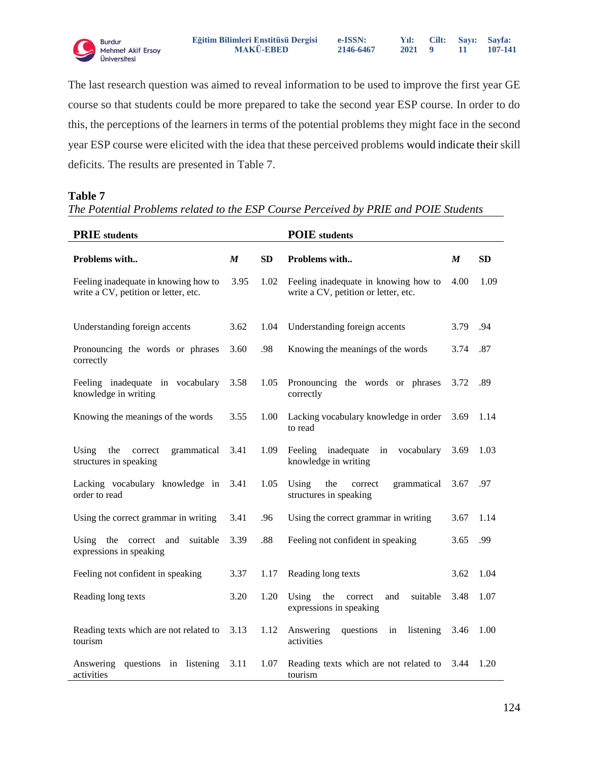

**e-ISSN:**

**Yıl: 2021 9 Cilt: Sayı: 11 Sayfa: 107-141**

The last research question was aimed to reveal information to be used to improve the first year GE course so that students could be more prepared to take the second year ESP course. In order to do this, the perceptions of the learners in terms of the potential problems they might face in the second year ESP course were elicited with the idea that these perceived problems would indicate their skill deficits. The results are presented in Table 7.

#### **Table 7**

# *The Potential Problems related to the ESP Course Perceived by PRIE and POIE Students*

| <b>PRIE</b> students                                                         |                  | <b>POIE</b> students |                                                                              |                  |           |
|------------------------------------------------------------------------------|------------------|----------------------|------------------------------------------------------------------------------|------------------|-----------|
| Problems with                                                                | $\boldsymbol{M}$ | <b>SD</b>            | Problems with                                                                | $\boldsymbol{M}$ | <b>SD</b> |
| Feeling inadequate in knowing how to<br>write a CV, petition or letter, etc. | 3.95             | 1.02                 | Feeling inadequate in knowing how to<br>write a CV, petition or letter, etc. | 4.00             | 1.09      |
| Understanding foreign accents                                                | 3.62             | 1.04                 | Understanding foreign accents                                                | 3.79             | .94       |
| Pronouncing the words or phrases<br>correctly                                | 3.60             | .98                  | Knowing the meanings of the words                                            | 3.74             | .87       |
| Feeling inadequate in vocabulary<br>knowledge in writing                     | 3.58             | 1.05                 | Pronouncing the words or phrases<br>correctly                                | 3.72             | .89       |
| Knowing the meanings of the words                                            | 3.55             | 1.00                 | Lacking vocabulary knowledge in order<br>to read                             | 3.69             | 1.14      |
| Using<br>the<br>correct<br>grammatical<br>structures in speaking             | 3.41             | 1.09                 | inadequate<br>Feeling<br>vocabulary<br>in<br>knowledge in writing            | 3.69             | 1.03      |
| Lacking vocabulary knowledge in<br>order to read                             | 3.41             | 1.05                 | Using<br>the<br>correct<br>grammatical<br>structures in speaking             | 3.67             | .97       |
| Using the correct grammar in writing                                         | 3.41             | .96                  | Using the correct grammar in writing                                         | 3.67             | 1.14      |
| Using<br>the<br>correct<br>suitable<br>and<br>expressions in speaking        | 3.39             | .88                  | Feeling not confident in speaking                                            | 3.65             | .99       |
| Feeling not confident in speaking                                            | 3.37             | 1.17                 | Reading long texts                                                           | 3.62             | 1.04      |
| Reading long texts                                                           | 3.20             | 1.20                 | Using<br>suitable<br>the<br>correct<br>and<br>expressions in speaking        | 3.48             | 1.07      |
| Reading texts which are not related to<br>tourism                            | 3.13             | 1.12                 | Answering<br>questions<br>listening<br>in<br>activities                      | 3.46             | 1.00      |
| Answering<br>questions in listening<br>activities                            | 3.11             | 1.07                 | Reading texts which are not related to<br>tourism                            | 3.44             | 1.20      |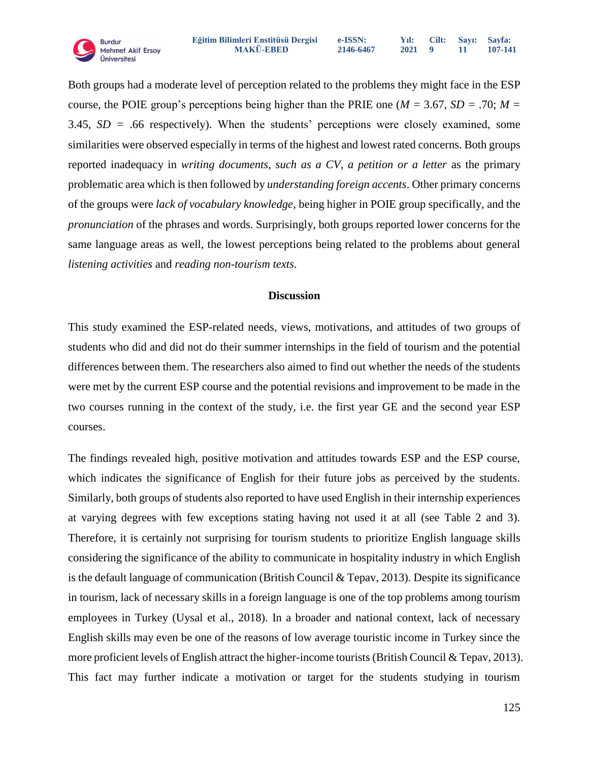Both groups had a moderate level of perception related to the problems they might face in the ESP course, the POIE group's perceptions being higher than the PRIE one ( $M = 3.67$ ,  $SD = .70$ ;  $M =$ 3.45, *SD =* .66 respectively). When the students' perceptions were closely examined, some similarities were observed especially in terms of the highest and lowest rated concerns. Both groups reported inadequacy in *writing documents, such as a CV, a petition or a letter* as the primary problematic area which is then followed by *understanding foreign accents*. Other primary concerns of the groups were *lack of vocabulary knowledge*, being higher in POIE group specifically, and the *pronunciation* of the phrases and words. Surprisingly, both groups reported lower concerns for the same language areas as well, the lowest perceptions being related to the problems about general *listening activities* and *reading non-tourism texts*.

#### **Discussion**

This study examined the ESP-related needs, views, motivations, and attitudes of two groups of students who did and did not do their summer internships in the field of tourism and the potential differences between them. The researchers also aimed to find out whether the needs of the students were met by the current ESP course and the potential revisions and improvement to be made in the two courses running in the context of the study, i.e. the first year GE and the second year ESP courses.

The findings revealed high, positive motivation and attitudes towards ESP and the ESP course, which indicates the significance of English for their future jobs as perceived by the students. Similarly, both groups of students also reported to have used English in their internship experiences at varying degrees with few exceptions stating having not used it at all (see Table 2 and 3). Therefore, it is certainly not surprising for tourism students to prioritize English language skills considering the significance of the ability to communicate in hospitality industry in which English is the default language of communication (British Council & Tepav, 2013). Despite its significance in tourism, lack of necessary skills in a foreign language is one of the top problems among tourism employees in Turkey (Uysal et al., 2018). In a broader and national context, lack of necessary English skills may even be one of the reasons of low average touristic income in Turkey since the more proficient levels of English attract the higher-income tourists (British Council & Tepav, 2013). This fact may further indicate a motivation or target for the students studying in tourism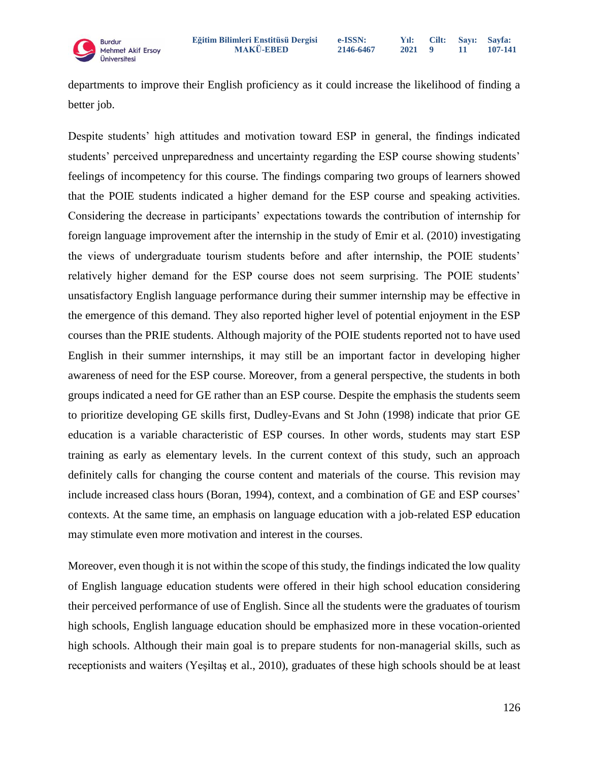

departments to improve their English proficiency as it could increase the likelihood of finding a better job.

Despite students' high attitudes and motivation toward ESP in general, the findings indicated students' perceived unpreparedness and uncertainty regarding the ESP course showing students' feelings of incompetency for this course. The findings comparing two groups of learners showed that the POIE students indicated a higher demand for the ESP course and speaking activities. Considering the decrease in participants' expectations towards the contribution of internship for foreign language improvement after the internship in the study of Emir et al. (2010) investigating the views of undergraduate tourism students before and after internship, the POIE students' relatively higher demand for the ESP course does not seem surprising. The POIE students' unsatisfactory English language performance during their summer internship may be effective in the emergence of this demand. They also reported higher level of potential enjoyment in the ESP courses than the PRIE students. Although majority of the POIE students reported not to have used English in their summer internships, it may still be an important factor in developing higher awareness of need for the ESP course. Moreover, from a general perspective, the students in both groups indicated a need for GE rather than an ESP course. Despite the emphasis the students seem to prioritize developing GE skills first, Dudley-Evans and St John (1998) indicate that prior GE education is a variable characteristic of ESP courses. In other words, students may start ESP training as early as elementary levels. In the current context of this study, such an approach definitely calls for changing the course content and materials of the course. This revision may include increased class hours (Boran, 1994), context, and a combination of GE and ESP courses' contexts. At the same time, an emphasis on language education with a job-related ESP education may stimulate even more motivation and interest in the courses.

Moreover, even though it is not within the scope of this study, the findings indicated the low quality of English language education students were offered in their high school education considering their perceived performance of use of English. Since all the students were the graduates of tourism high schools, English language education should be emphasized more in these vocation-oriented high schools. Although their main goal is to prepare students for non-managerial skills, such as receptionists and waiters (Yeşiltaş et al., 2010), graduates of these high schools should be at least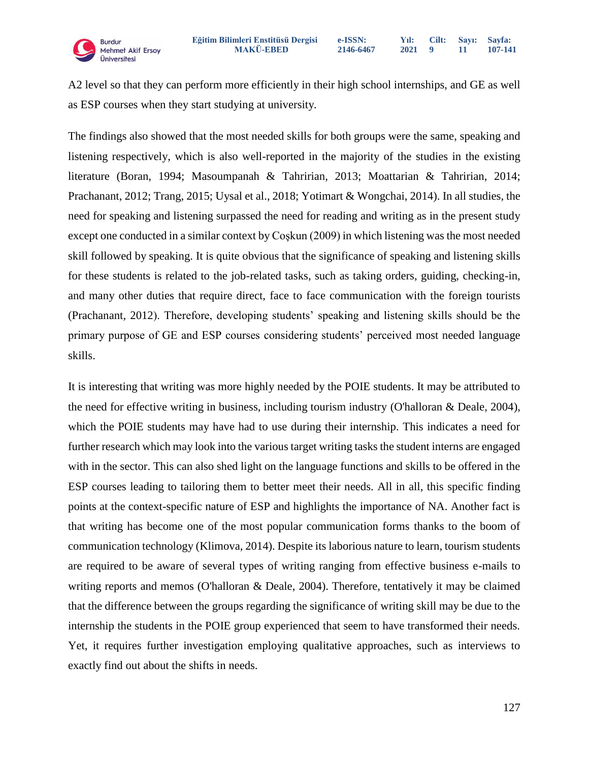A2 level so that they can perform more efficiently in their high school internships, and GE as well as ESP courses when they start studying at university.

The findings also showed that the most needed skills for both groups were the same, speaking and listening respectively, which is also well-reported in the majority of the studies in the existing literature (Boran, 1994; Masoumpanah & Tahririan, 2013; Moattarian & Tahririan, 2014; Prachanant, 2012; Trang, 2015; Uysal et al., 2018; Yotimart & Wongchai, 2014). In all studies, the need for speaking and listening surpassed the need for reading and writing as in the present study except one conducted in a similar context by Coşkun (2009) in which listening was the most needed skill followed by speaking. It is quite obvious that the significance of speaking and listening skills for these students is related to the job-related tasks, such as taking orders, guiding, checking-in, and many other duties that require direct, face to face communication with the foreign tourists (Prachanant, 2012). Therefore, developing students' speaking and listening skills should be the primary purpose of GE and ESP courses considering students' perceived most needed language skills.

It is interesting that writing was more highly needed by the POIE students. It may be attributed to the need for effective writing in business, including tourism industry (O'halloran & Deale, 2004), which the POIE students may have had to use during their internship. This indicates a need for further research which may look into the various target writing tasks the student interns are engaged with in the sector. This can also shed light on the language functions and skills to be offered in the ESP courses leading to tailoring them to better meet their needs. All in all, this specific finding points at the context-specific nature of ESP and highlights the importance of NA. Another fact is that writing has become one of the most popular communication forms thanks to the boom of communication technology (Klimova, 2014). Despite its laborious nature to learn, tourism students are required to be aware of several types of writing ranging from effective business e-mails to writing reports and memos (O'halloran  $&$  Deale, 2004). Therefore, tentatively it may be claimed that the difference between the groups regarding the significance of writing skill may be due to the internship the students in the POIE group experienced that seem to have transformed their needs. Yet, it requires further investigation employing qualitative approaches, such as interviews to exactly find out about the shifts in needs.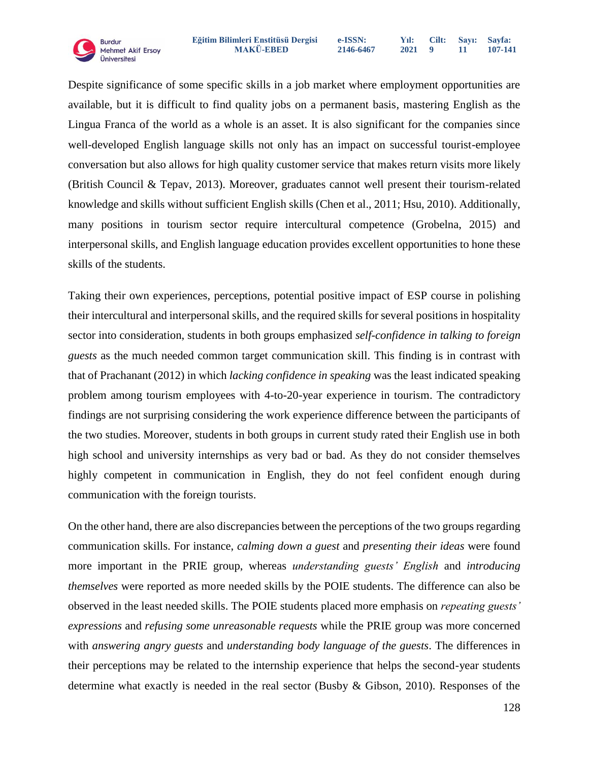Despite significance of some specific skills in a job market where employment opportunities are available, but it is difficult to find quality jobs on a permanent basis, mastering English as the Lingua Franca of the world as a whole is an asset. It is also significant for the companies since well-developed English language skills not only has an impact on successful tourist-employee conversation but also allows for high quality customer service that makes return visits more likely (British Council & Tepav, 2013). Moreover, graduates cannot well present their tourism-related knowledge and skills without sufficient English skills (Chen et al., 2011; Hsu, 2010). Additionally, many positions in tourism sector require intercultural competence (Grobelna, 2015) and interpersonal skills, and English language education provides excellent opportunities to hone these skills of the students.

Taking their own experiences, perceptions, potential positive impact of ESP course in polishing their intercultural and interpersonal skills, and the required skills for several positions in hospitality sector into consideration, students in both groups emphasized *self-confidence in talking to foreign guests* as the much needed common target communication skill. This finding is in contrast with that of Prachanant (2012) in which *lacking confidence in speaking* was the least indicated speaking problem among tourism employees with 4-to-20-year experience in tourism. The contradictory findings are not surprising considering the work experience difference between the participants of the two studies. Moreover, students in both groups in current study rated their English use in both high school and university internships as very bad or bad. As they do not consider themselves highly competent in communication in English, they do not feel confident enough during communication with the foreign tourists.

On the other hand, there are also discrepancies between the perceptions of the two groups regarding communication skills. For instance, *calming down a guest* and *presenting their ideas* were found more important in the PRIE group, whereas *understanding guests' English* and *introducing themselves* were reported as more needed skills by the POIE students. The difference can also be observed in the least needed skills. The POIE students placed more emphasis on *repeating guests' expressions* and *refusing some unreasonable requests* while the PRIE group was more concerned with *answering angry guests* and *understanding body language of the guests*. The differences in their perceptions may be related to the internship experience that helps the second-year students determine what exactly is needed in the real sector (Busby & Gibson, 2010). Responses of the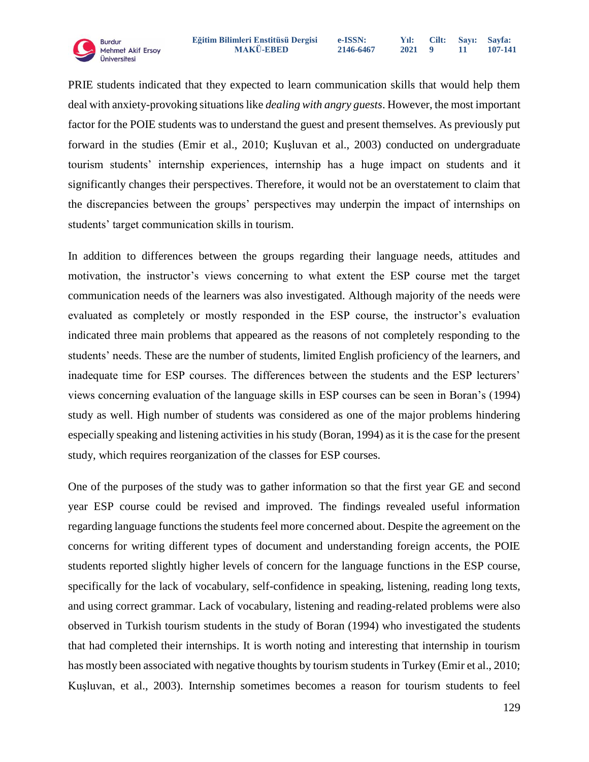PRIE students indicated that they expected to learn communication skills that would help them deal with anxiety-provoking situations like *dealing with angry guests*. However, the most important factor for the POIE students was to understand the guest and present themselves. As previously put forward in the studies (Emir et al., 2010; Kuşluvan et al., 2003) conducted on undergraduate tourism students' internship experiences, internship has a huge impact on students and it significantly changes their perspectives. Therefore, it would not be an overstatement to claim that the discrepancies between the groups' perspectives may underpin the impact of internships on students' target communication skills in tourism.

In addition to differences between the groups regarding their language needs, attitudes and motivation, the instructor's views concerning to what extent the ESP course met the target communication needs of the learners was also investigated. Although majority of the needs were evaluated as completely or mostly responded in the ESP course, the instructor's evaluation indicated three main problems that appeared as the reasons of not completely responding to the students' needs. These are the number of students, limited English proficiency of the learners, and inadequate time for ESP courses. The differences between the students and the ESP lecturers' views concerning evaluation of the language skills in ESP courses can be seen in Boran's (1994) study as well. High number of students was considered as one of the major problems hindering especially speaking and listening activities in his study (Boran, 1994) as it is the case for the present study, which requires reorganization of the classes for ESP courses.

One of the purposes of the study was to gather information so that the first year GE and second year ESP course could be revised and improved. The findings revealed useful information regarding language functions the students feel more concerned about. Despite the agreement on the concerns for writing different types of document and understanding foreign accents, the POIE students reported slightly higher levels of concern for the language functions in the ESP course, specifically for the lack of vocabulary, self-confidence in speaking, listening, reading long texts, and using correct grammar. Lack of vocabulary, listening and reading-related problems were also observed in Turkish tourism students in the study of Boran (1994) who investigated the students that had completed their internships. It is worth noting and interesting that internship in tourism has mostly been associated with negative thoughts by tourism students in Turkey (Emir et al., 2010; Kuşluvan, et al., 2003). Internship sometimes becomes a reason for tourism students to feel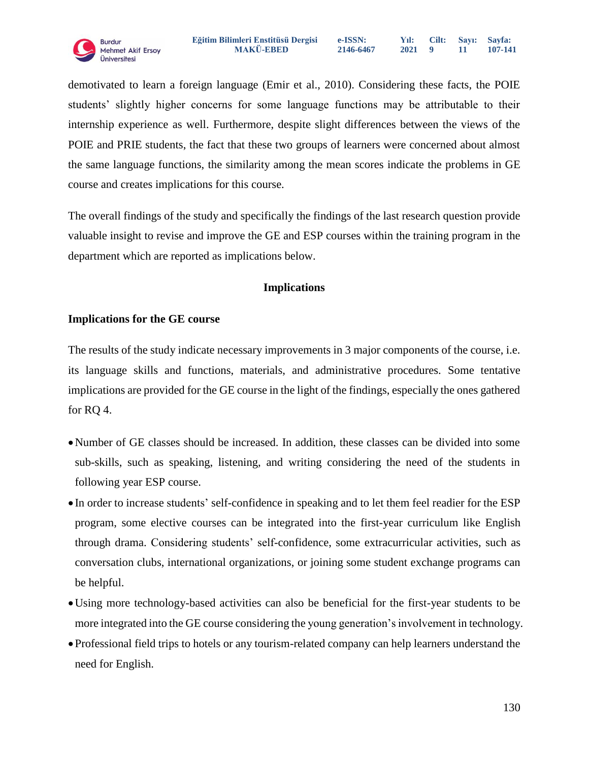demotivated to learn a foreign language (Emir et al., 2010). Considering these facts, the POIE students' slightly higher concerns for some language functions may be attributable to their internship experience as well. Furthermore, despite slight differences between the views of the POIE and PRIE students, the fact that these two groups of learners were concerned about almost the same language functions, the similarity among the mean scores indicate the problems in GE course and creates implications for this course.

The overall findings of the study and specifically the findings of the last research question provide valuable insight to revise and improve the GE and ESP courses within the training program in the department which are reported as implications below.

# **Implications**

# **Implications for the GE course**

The results of the study indicate necessary improvements in 3 major components of the course, i.e. its language skills and functions, materials, and administrative procedures. Some tentative implications are provided for the GE course in the light of the findings, especially the ones gathered for RQ 4.

- Number of GE classes should be increased. In addition, these classes can be divided into some sub-skills, such as speaking, listening, and writing considering the need of the students in following year ESP course.
- In order to increase students' self-confidence in speaking and to let them feel readier for the ESP program, some elective courses can be integrated into the first-year curriculum like English through drama. Considering students' self-confidence, some extracurricular activities, such as conversation clubs, international organizations, or joining some student exchange programs can be helpful.
- Using more technology-based activities can also be beneficial for the first-year students to be more integrated into the GE course considering the young generation's involvement in technology.
- Professional field trips to hotels or any tourism-related company can help learners understand the need for English.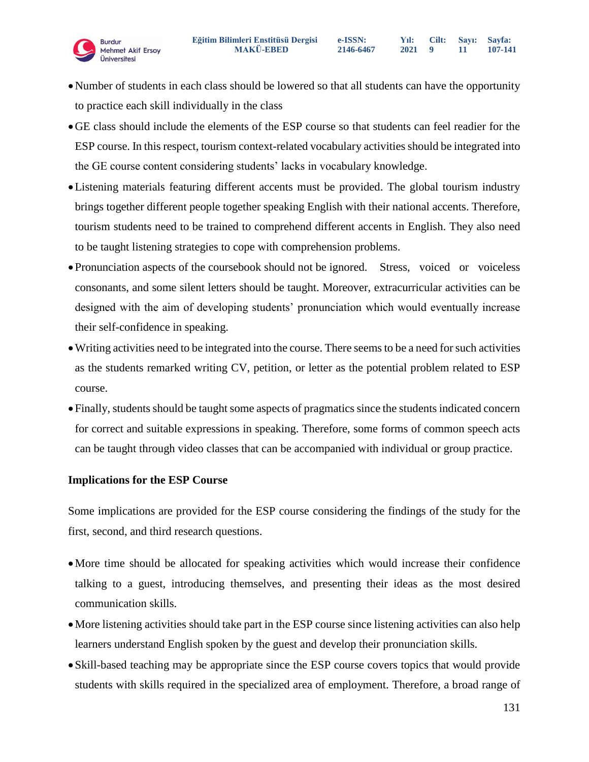- Number of students in each class should be lowered so that all students can have the opportunity to practice each skill individually in the class
- GE class should include the elements of the ESP course so that students can feel readier for the ESP course. In this respect, tourism context-related vocabulary activities should be integrated into the GE course content considering students' lacks in vocabulary knowledge.
- Listening materials featuring different accents must be provided. The global tourism industry brings together different people together speaking English with their national accents. Therefore, tourism students need to be trained to comprehend different accents in English. They also need to be taught listening strategies to cope with comprehension problems.
- Pronunciation aspects of the coursebook should not be ignored. Stress, voiced or voiceless consonants, and some silent letters should be taught. Moreover, extracurricular activities can be designed with the aim of developing students' pronunciation which would eventually increase their self-confidence in speaking.
- Writing activities need to be integrated into the course. There seems to be a need for such activities as the students remarked writing CV, petition, or letter as the potential problem related to ESP course.
- Finally, students should be taught some aspects of pragmatics since the students indicated concern for correct and suitable expressions in speaking. Therefore, some forms of common speech acts can be taught through video classes that can be accompanied with individual or group practice.

# **Implications for the ESP Course**

Some implications are provided for the ESP course considering the findings of the study for the first, second, and third research questions.

- More time should be allocated for speaking activities which would increase their confidence talking to a guest, introducing themselves, and presenting their ideas as the most desired communication skills.
- More listening activities should take part in the ESP course since listening activities can also help learners understand English spoken by the guest and develop their pronunciation skills.
- Skill-based teaching may be appropriate since the ESP course covers topics that would provide students with skills required in the specialized area of employment. Therefore, a broad range of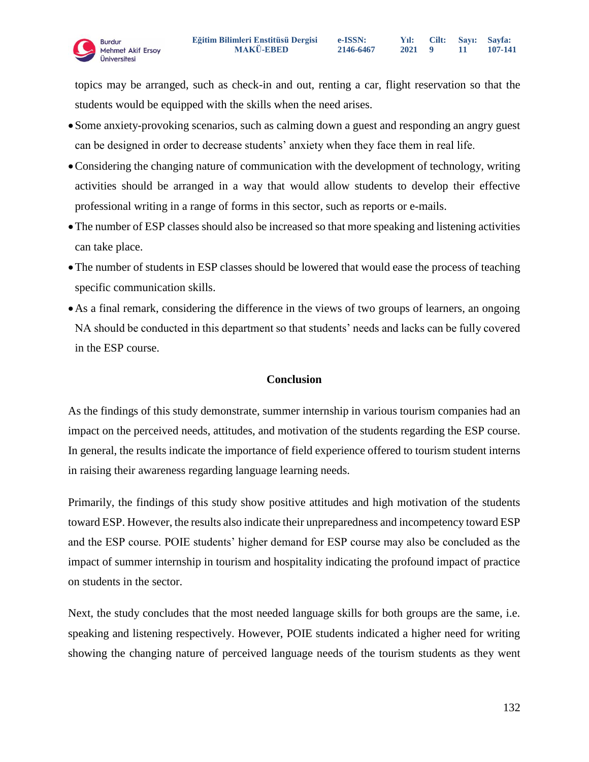

topics may be arranged, such as check-in and out, renting a car, flight reservation so that the students would be equipped with the skills when the need arises.

- Some anxiety-provoking scenarios, such as calming down a guest and responding an angry guest can be designed in order to decrease students' anxiety when they face them in real life.
- Considering the changing nature of communication with the development of technology, writing activities should be arranged in a way that would allow students to develop their effective professional writing in a range of forms in this sector, such as reports or e-mails.
- The number of ESP classes should also be increased so that more speaking and listening activities can take place.
- The number of students in ESP classes should be lowered that would ease the process of teaching specific communication skills.
- As a final remark, considering the difference in the views of two groups of learners, an ongoing NA should be conducted in this department so that students' needs and lacks can be fully covered in the ESP course.

# **Conclusion**

As the findings of this study demonstrate, summer internship in various tourism companies had an impact on the perceived needs, attitudes, and motivation of the students regarding the ESP course. In general, the results indicate the importance of field experience offered to tourism student interns in raising their awareness regarding language learning needs.

Primarily, the findings of this study show positive attitudes and high motivation of the students toward ESP. However, the results also indicate their unpreparedness and incompetency toward ESP and the ESP course. POIE students' higher demand for ESP course may also be concluded as the impact of summer internship in tourism and hospitality indicating the profound impact of practice on students in the sector.

Next, the study concludes that the most needed language skills for both groups are the same, i.e. speaking and listening respectively. However, POIE students indicated a higher need for writing showing the changing nature of perceived language needs of the tourism students as they went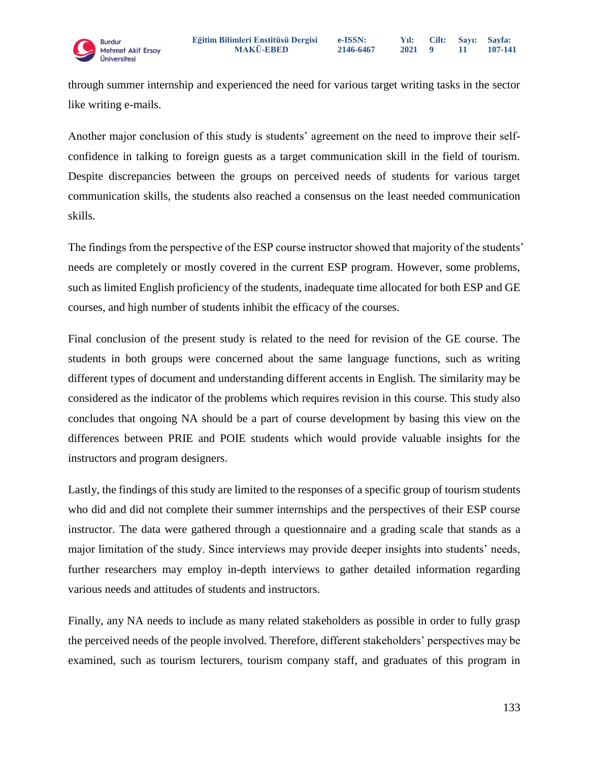through summer internship and experienced the need for various target writing tasks in the sector like writing e-mails.

Another major conclusion of this study is students' agreement on the need to improve their selfconfidence in talking to foreign guests as a target communication skill in the field of tourism. Despite discrepancies between the groups on perceived needs of students for various target communication skills, the students also reached a consensus on the least needed communication skills.

The findings from the perspective of the ESP course instructor showed that majority of the students' needs are completely or mostly covered in the current ESP program. However, some problems, such as limited English proficiency of the students, inadequate time allocated for both ESP and GE courses, and high number of students inhibit the efficacy of the courses.

Final conclusion of the present study is related to the need for revision of the GE course. The students in both groups were concerned about the same language functions, such as writing different types of document and understanding different accents in English. The similarity may be considered as the indicator of the problems which requires revision in this course. This study also concludes that ongoing NA should be a part of course development by basing this view on the differences between PRIE and POIE students which would provide valuable insights for the instructors and program designers.

Lastly, the findings of this study are limited to the responses of a specific group of tourism students who did and did not complete their summer internships and the perspectives of their ESP course instructor. The data were gathered through a questionnaire and a grading scale that stands as a major limitation of the study. Since interviews may provide deeper insights into students' needs, further researchers may employ in-depth interviews to gather detailed information regarding various needs and attitudes of students and instructors.

Finally, any NA needs to include as many related stakeholders as possible in order to fully grasp the perceived needs of the people involved. Therefore, different stakeholders' perspectives may be examined, such as tourism lecturers, tourism company staff, and graduates of this program in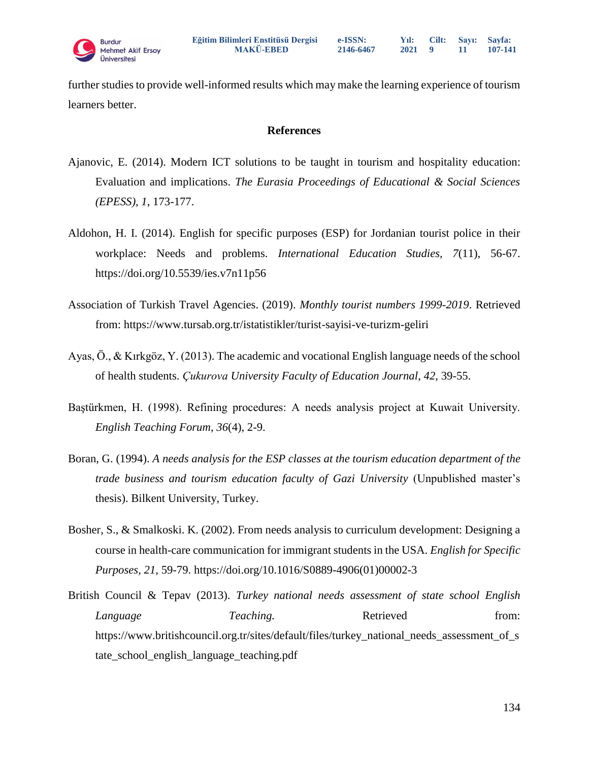further studies to provide well-informed results which may make the learning experience of tourism learners better.

#### **References**

- Ajanovic, E. (2014). Modern ICT solutions to be taught in tourism and hospitality education: Evaluation and implications. *The Eurasia Proceedings of Educational & Social Sciences (EPESS), 1*, 173-177.
- Aldohon, H. I. (2014). English for specific purposes (ESP) for Jordanian tourist police in their workplace: Needs and problems. *International Education Studies, 7*(11), 56-67. <https://doi.org/10.5539/ies.v7n11p56>
- Association of Turkish Travel Agencies. (2019). *Monthly tourist numbers 1999-2019*. Retrieved from:<https://www.tursab.org.tr/istatistikler/turist-sayisi-ve-turizm-geliri>
- Ayas, Ö., & Kırkgöz, Y. (2013). The academic and vocational English language needs of the school of health students. *Çukurova University Faculty of Education Journal*, *42*, 39-55.
- Baştürkmen, H. (1998). Refining procedures: A needs analysis project at Kuwait University. *English Teaching Forum*, *36*(4), 2-9.
- Boran, G. (1994). *A needs analysis for the ESP classes at the tourism education department of the trade business and tourism education faculty of Gazi University* (Unpublished master's thesis). Bilkent University, Turkey.
- Bosher, S., & Smalkoski. K. (2002). From needs analysis to curriculum development: Designing a course in health-care communication for immigrant students in the USA. *English for Specific Purposes, 21,* 59-79. https://doi.org[/10.1016/S0889-4906\(01\)00002-3](https://doi.org/10.1016/S0889-4906(01)00002-3)
- British Council & Tepav (2013). *Turkey national needs assessment of state school English Language Teaching.* Retrieved from: [https://www.britishcouncil.org.tr/sites/default/files/turkey\\_national\\_needs\\_assessment\\_of\\_s](https://www.britishcouncil.org.tr/sites/default/files/turkey_national_needs_assessment_of_state_school_english_language_teaching.pdf) [tate\\_school\\_english\\_language\\_teaching.pdf](https://www.britishcouncil.org.tr/sites/default/files/turkey_national_needs_assessment_of_state_school_english_language_teaching.pdf)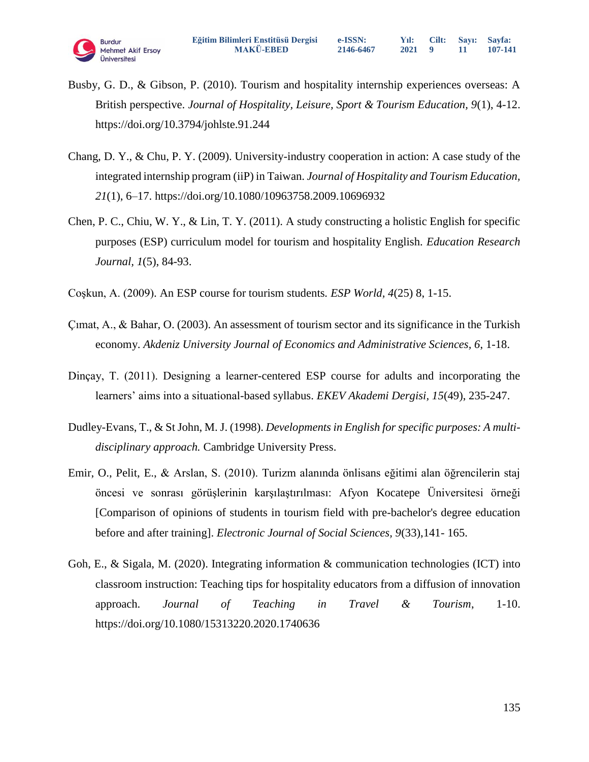

- Busby, G. D., & Gibson, P. (2010). Tourism and hospitality internship experiences overseas: A British perspective. *Journal of Hospitality, Leisure, Sport & Tourism Education, 9*(1), 4-12. https://doi.org/10.3794/johlste.91.244
- Chang, D. Y., & Chu, P. Y. (2009). University-industry cooperation in action: A case study of the integrated internship program (iiP) in Taiwan. *Journal of Hospitality and Tourism Education, 21*(1), 6–17. https://doi.org[/10.1080/10963758.2009.10696932](https://doi.org/10.1080/10963758.2009.10696932)
- Chen, P. C., Chiu, W. Y., & Lin, T. Y. (2011). A study constructing a holistic English for specific purposes (ESP) curriculum model for tourism and hospitality English. *Education Research Journal, 1*(5), 84-93.
- Coşkun, A. (2009). An ESP course for tourism students*. ESP World, 4*(25) 8, 1-15.
- Çımat, A., & Bahar, O. (2003). An assessment of tourism sector and its significance in the Turkish economy. *Akdeniz University Journal of Economics and Administrative Sciences, 6*, 1-18.
- Dinçay, T. (2011). Designing a learner-centered ESP course for adults and incorporating the learners' aims into a situational-based syllabus. *EKEV Akademi Dergisi, 15*(49), 235-247.
- Dudley-Evans, T., & St John, M. J. (1998). *Developments in English for specific purposes: A multidisciplinary approach.* Cambridge University Press.
- Emir, O., Pelit, E., & Arslan, S. (2010). Turizm alanında önlisans eğitimi alan öğrencilerin staj öncesi ve sonrası görüşlerinin karşılaştırılması: Afyon Kocatepe Üniversitesi örneği [Comparison of opinions of students in tourism field with pre-bachelor's degree education before and after training]. *Electronic Journal of Social Sciences, 9*(33),141- 165.
- Goh, E., & Sigala, M. (2020). Integrating information & communication technologies (ICT) into classroom instruction: Teaching tips for hospitality educators from a diffusion of innovation approach. *Journal of Teaching in Travel & Tourism*, 1-10. https://doi.org/10.1080/15313220.2020.1740636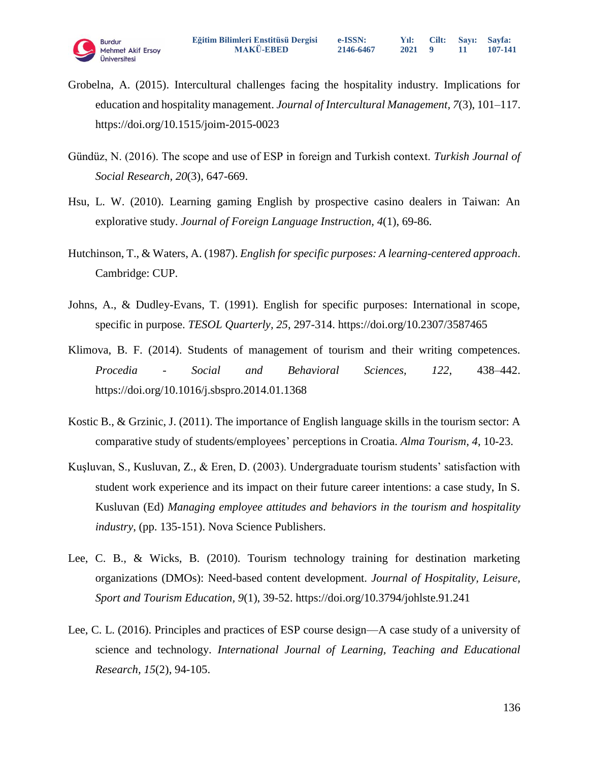

- Grobelna, A. (2015). Intercultural challenges facing the hospitality industry. Implications for education and hospitality management. *Journal of Intercultural Management, 7*(3), 101–117. <https://doi.org/10.1515/joim-2015-0023>
- Gündüz, N. (2016). The scope and use of ESP in foreign and Turkish context. *Turkish Journal of Social Research, 20*(3), 647-669.
- Hsu, L. W. (2010). Learning gaming English by prospective casino dealers in Taiwan: An explorative study. *Journal of Foreign Language Instruction, 4*(1), 69-86.
- Hutchinson, T., & Waters, A. (1987). *English for specific purposes: A learning-centered approach*. Cambridge: CUP.
- Johns, A., & Dudley-Evans, T. (1991). English for specific purposes: International in scope, specific in purpose. *TESOL Quarterly, 25*, 297-314.<https://doi.org/10.2307/3587465>
- Klimova, B. F. (2014). Students of management of tourism and their writing competences. *Procedia - Social and Behavioral Sciences, 122*, 438–442. https://doi.org/10.1016/j.sbspro.2014.01.1368
- Kostic B., & Grzinic, J. (2011). The importance of English language skills in the tourism sector: A comparative study of students/employees' perceptions in Croatia. *Alma Tourism, 4*, 10-23.
- Kuşluvan, S., Kusluvan, Z., & Eren, D. (2003). Undergraduate tourism students' satisfaction with student work experience and its impact on their future career intentions: a case study, In S. Kusluvan (Ed) *Managing employee attitudes and behaviors in the tourism and hospitality industry*, (pp. 135-151). Nova Science Publishers.
- Lee, C. B., & Wicks, B. (2010). Tourism technology training for destination marketing organizations (DMOs): Need-based content development. *Journal of Hospitality, Leisure, Sport and Tourism Education, 9*(1), 39-52. https://doi.org/10.3794/johlste.91.241
- Lee, C. L. (2016). Principles and practices of ESP course design—A case study of a university of science and technology. *International Journal of Learning, Teaching and Educational Research, 15*(2), 94-105.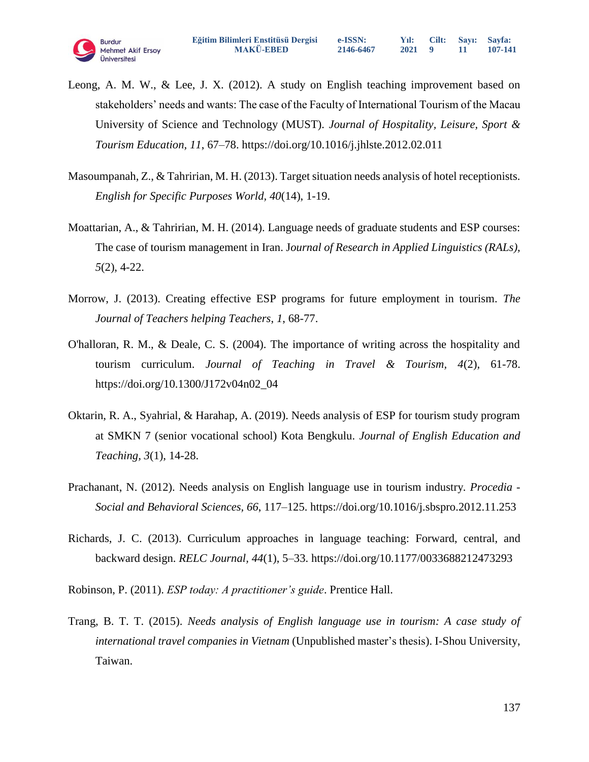

- Leong, A. M. W., & Lee, J. X. (2012). A study on English teaching improvement based on stakeholders' needs and wants: The case of the Faculty of International Tourism of the Macau University of Science and Technology (MUST). *Journal of Hospitality, Leisure, Sport & Tourism Education, 11*, 67–78.<https://doi.org/10.1016/j.jhlste.2012.02.011>
- Masoumpanah, Z., & Tahririan, M. H. (2013). Target situation needs analysis of hotel receptionists. *English for Specific Purposes World, 40*(14), 1-19.
- Moattarian, A., & Tahririan, M. H. (2014). Language needs of graduate students and ESP courses: The case of tourism management in Iran. J*ournal of Research in Applied Linguistics (RALs), 5*(2), 4-22.
- Morrow, J. (2013). Creating effective ESP programs for future employment in tourism. *The Journal of Teachers helping Teachers*, *1*, 68-77.
- O'halloran, R. M., & Deale, C. S. (2004). The importance of writing across the hospitality and tourism curriculum. *Journal of Teaching in Travel & Tourism, 4*(2), 61-78. ht[tps://doi.org/10.1300/J172v04n02\\_04](https://doi.org/10.1300/J172v04n02_04)
- Oktarin, R. A., Syahrial, & Harahap, A. (2019). Needs analysis of ESP for tourism study program at SMKN 7 (senior vocational school) Kota Bengkulu. *Journal of English Education and Teaching, 3*(1), 14-28.
- Prachanant, N. (2012). Needs analysis on English language use in tourism industry. *Procedia - Social and Behavioral Sciences, 66*, 117–125.<https://doi.org/10.1016/j.sbspro.2012.11.253>
- Richards, J. C. (2013). Curriculum approaches in language teaching: Forward, central, and backward design. *RELC Journal, 44*(1), 5–33. [https://doi.org/10.1177/0033688212473293](https://doi.org/10.1177%2F0033688212473293)
- Robinson, P. (2011). *ESP today: A practitioner's guide*. Prentice Hall.
- Trang, B. T. T. (2015). *Needs analysis of English language use in tourism: A case study of international travel companies in Vietnam* (Unpublished master's thesis). I-Shou University, Taiwan.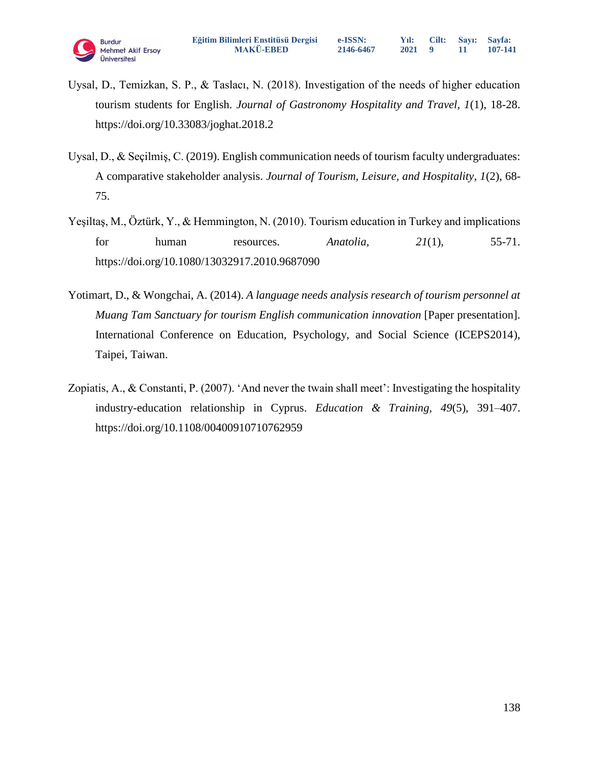- Uysal, D., Temizkan, S. P., & Taslacı, N. (2018). Investigation of the needs of higher education tourism students for English. *Journal of Gastronomy Hospitality and Travel, 1*(1), 18-28. https://doi.org/10.33083/joghat.2018.2
- Uysal, D., & Seçilmiş, C. (2019). English communication needs of tourism faculty undergraduates: A comparative stakeholder analysis. *Journal of Tourism, Leisure, and Hospitality, 1*(2), 68- 75.
- Yeşiltaş, M., Öztürk, Y., & Hemmington, N. (2010). Tourism education in Turkey and implications for human resources. *Anatolia, 21*(1), 55-71. <https://doi.org/10.1080/13032917.2010.9687090>
- Yotimart, D., & Wongchai, A. (2014). *A language needs analysis research of tourism personnel at Muang Tam Sanctuary for tourism English communication innovation* [Paper presentation]. International Conference on Education, Psychology, and Social Science (ICEPS2014), Taipei, Taiwan.
- Zopiatis, A., & Constanti, P. (2007). 'And never the twain shall meet': Investigating the hospitality industry-education relationship in Cyprus. *Education & Training, 49*(5), 391–407. <https://doi.org/10.1108/00400910710762959>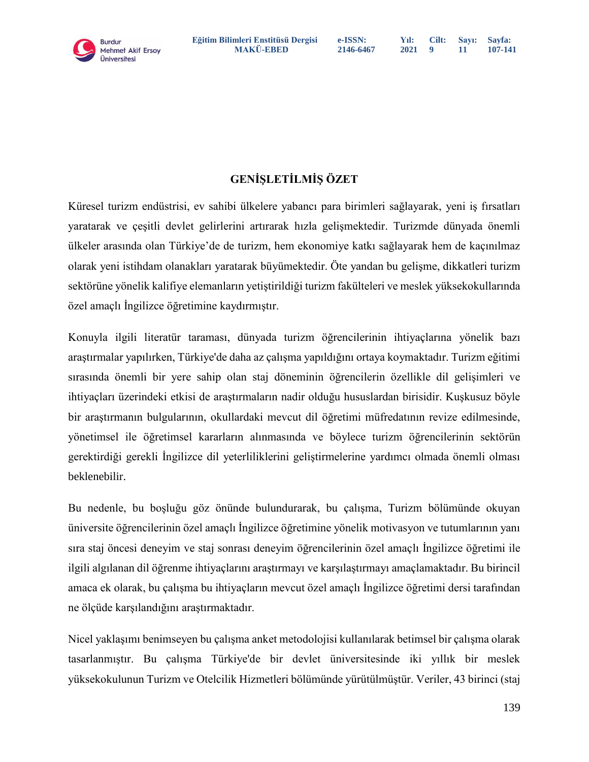

# **GENİŞLETİLMİŞ ÖZET**

Küresel turizm endüstrisi, ev sahibi ülkelere yabancı para birimleri sağlayarak, yeni iş fırsatları yaratarak ve çeşitli devlet gelirlerini artırarak hızla gelişmektedir. Turizmde dünyada önemli ülkeler arasında olan Türkiye'de de turizm, hem ekonomiye katkı sağlayarak hem de kaçınılmaz olarak yeni istihdam olanakları yaratarak büyümektedir. Öte yandan bu gelişme, dikkatleri turizm sektörüne yönelik kalifiye elemanların yetiştirildiği turizm fakülteleri ve meslek yüksekokullarında özel amaçlı İngilizce öğretimine kaydırmıştır.

Konuyla ilgili literatür taraması, dünyada turizm öğrencilerinin ihtiyaçlarına yönelik bazı araştırmalar yapılırken, Türkiye'de daha az çalışma yapıldığını ortaya koymaktadır. Turizm eğitimi sırasında önemli bir yere sahip olan staj döneminin öğrencilerin özellikle dil gelişimleri ve ihtiyaçları üzerindeki etkisi de araştırmaların nadir olduğu hususlardan birisidir. Kuşkusuz böyle bir araştırmanın bulgularının, okullardaki mevcut dil öğretimi müfredatının revize edilmesinde, yönetimsel ile öğretimsel kararların alınmasında ve böylece turizm öğrencilerinin sektörün gerektirdiği gerekli İngilizce dil yeterliliklerini geliştirmelerine yardımcı olmada önemli olması beklenebilir.

Bu nedenle, bu boşluğu göz önünde bulundurarak, bu çalışma, Turizm bölümünde okuyan üniversite öğrencilerinin özel amaçlı İngilizce öğretimine yönelik motivasyon ve tutumlarının yanı sıra staj öncesi deneyim ve staj sonrası deneyim öğrencilerinin özel amaçlı İngilizce öğretimi ile ilgili algılanan dil öğrenme ihtiyaçlarını araştırmayı ve karşılaştırmayı amaçlamaktadır. Bu birincil amaca ek olarak, bu çalışma bu ihtiyaçların mevcut özel amaçlı İngilizce öğretimi dersi tarafından ne ölçüde karşılandığını araştırmaktadır.

Nicel yaklaşımı benimseyen bu çalışma anket metodolojisi kullanılarak betimsel bir çalışma olarak tasarlanmıştır. Bu çalışma Türkiye'de bir devlet üniversitesinde iki yıllık bir meslek yüksekokulunun Turizm ve Otelcilik Hizmetleri bölümünde yürütülmüştür. Veriler, 43 birinci (staj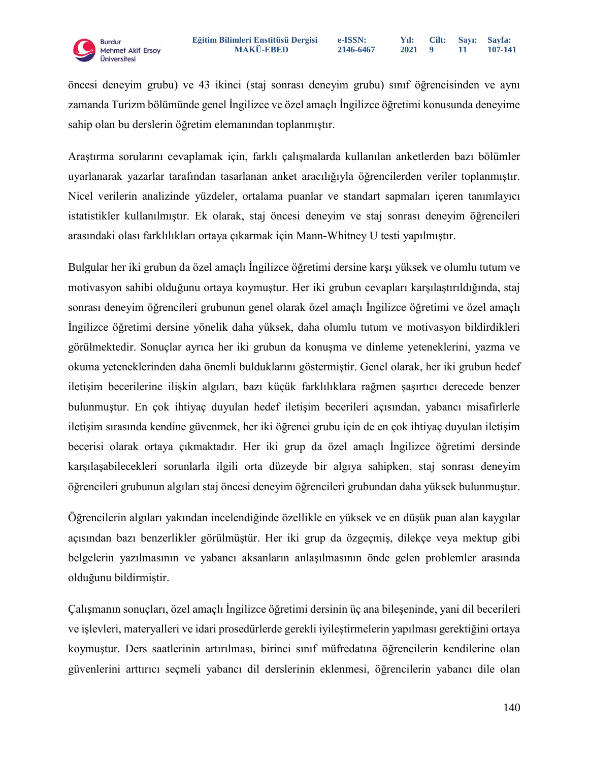öncesi deneyim grubu) ve 43 ikinci (staj sonrası deneyim grubu) sınıf öğrencisinden ve aynı zamanda Turizm bölümünde genel İngilizce ve özel amaçlı İngilizce öğretimi konusunda deneyime sahip olan bu derslerin öğretim elemanından toplanmıştır.

Araştırma sorularını cevaplamak için, farklı çalışmalarda kullanılan anketlerden bazı bölümler uyarlanarak yazarlar tarafından tasarlanan anket aracılığıyla öğrencilerden veriler toplanmıştır. Nicel verilerin analizinde yüzdeler, ortalama puanlar ve standart sapmaları içeren tanımlayıcı istatistikler kullanılmıştır. Ek olarak, staj öncesi deneyim ve staj sonrası deneyim öğrencileri arasındaki olası farklılıkları ortaya çıkarmak için Mann-Whitney U testi yapılmıştır.

Bulgular her iki grubun da özel amaçlı İngilizce öğretimi dersine karşı yüksek ve olumlu tutum ve motivasyon sahibi olduğunu ortaya koymuştur. Her iki grubun cevapları karşılaştırıldığında, staj sonrası deneyim öğrencileri grubunun genel olarak özel amaçlı İngilizce öğretimi ve özel amaçlı İngilizce öğretimi dersine yönelik daha yüksek, daha olumlu tutum ve motivasyon bildirdikleri görülmektedir. Sonuçlar ayrıca her iki grubun da konuşma ve dinleme yeteneklerini, yazma ve okuma yeteneklerinden daha önemli bulduklarını göstermiştir. Genel olarak, her iki grubun hedef iletişim becerilerine ilişkin algıları, bazı küçük farklılıklara rağmen şaşırtıcı derecede benzer bulunmuştur. En çok ihtiyaç duyulan hedef iletişim becerileri açısından, yabancı misafirlerle iletişim sırasında kendine güvenmek, her iki öğrenci grubu için de en çok ihtiyaç duyulan iletişim becerisi olarak ortaya çıkmaktadır. Her iki grup da özel amaçlı İngilizce öğretimi dersinde karşılaşabilecekleri sorunlarla ilgili orta düzeyde bir algıya sahipken, staj sonrası deneyim öğrencileri grubunun algıları staj öncesi deneyim öğrencileri grubundan daha yüksek bulunmuştur.

Öğrencilerin algıları yakından incelendiğinde özellikle en yüksek ve en düşük puan alan kaygılar açısından bazı benzerlikler görülmüştür. Her iki grup da özgeçmiş, dilekçe veya mektup gibi belgelerin yazılmasının ve yabancı aksanların anlaşılmasının önde gelen problemler arasında olduğunu bildirmiştir.

Çalışmanın sonuçları, özel amaçlı İngilizce öğretimi dersinin üç ana bileşeninde, yani dil becerileri ve işlevleri, materyalleri ve idari prosedürlerde gerekli iyileştirmelerin yapılması gerektiğini ortaya koymuştur. Ders saatlerinin artırılması, birinci sınıf müfredatına öğrencilerin kendilerine olan güvenlerini arttırıcı seçmeli yabancı dil derslerinin eklenmesi, öğrencilerin yabancı dile olan